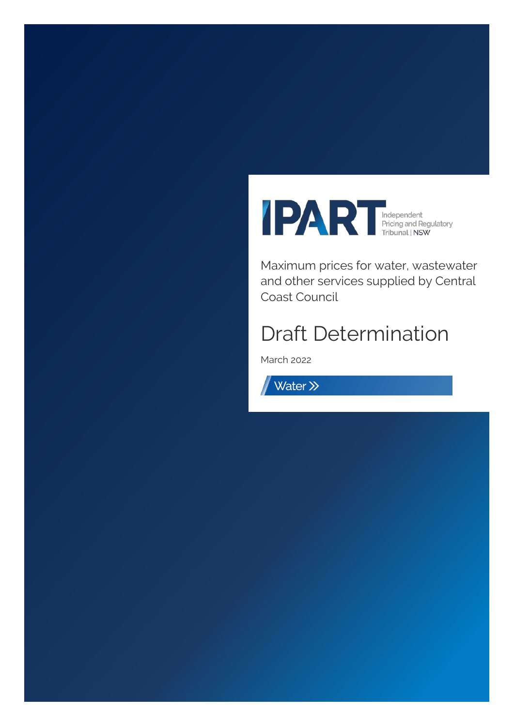

Maximum prices for water, wastewater and other services supplied by Central Coast Council

# Draft Determination

March 2022

Water >>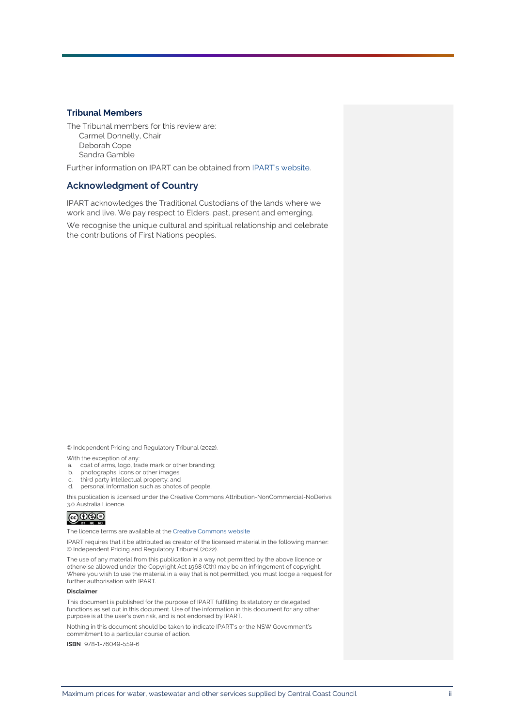### **Tribunal Members**

The Tribunal members for this review are: Carmel Donnelly, Chair Deborah Cope Sandra Gamble

Further information on IPART can be obtained from [IPART's website.](https://www.ipart.nsw.gov.au/Home)

### **Acknowledgment of Country**

IPART acknowledges the Traditional Custodians of the lands where we work and live. We pay respect to Elders, past, present and emerging.

We recognise the unique cultural and spiritual relationship and celebrate the contributions of First Nations peoples.

© Independent Pricing and Regulatory Tribunal (2022).

With the exception of any:

- a. coat of arms, logo, trade mark or other branding;
- b. photographs, icons or other images;
- c. third party intellectual property; and<br>d. personal information such as photos
- personal information such as photos of people,

this publication is licensed under the Creative Commons Attribution-NonCommercial-NoDerivs 3.0 Australia Licence.



The licence terms are available at th[e Creative Commons](https://creativecommons.org/licenses/by-nc-nd/3.0/au/legalcode) website

IPART requires that it be attributed as creator of the licensed material in the following manner: © Independent Pricing and Regulatory Tribunal (2022).

The use of any material from this publication in a way not permitted by the above licence or otherwise allowed under the Copyright Act 1968 (Cth) may be an infringement of copyright. Where you wish to use the material in a way that is not permitted, you must lodge a request for further authorisation with IPART.

#### **Disclaimer**

This document is published for the purpose of IPART fulfilling its statutory or delegated functions as set out in this document. Use of the information in this document for any other purpose is at the user's own risk, and is not endorsed by IPART.

Nothing in this document should be taken to indicate IPART's or the NSW Government's commitment to a particular course of action.

**ISBN** 978-1-76049-559-6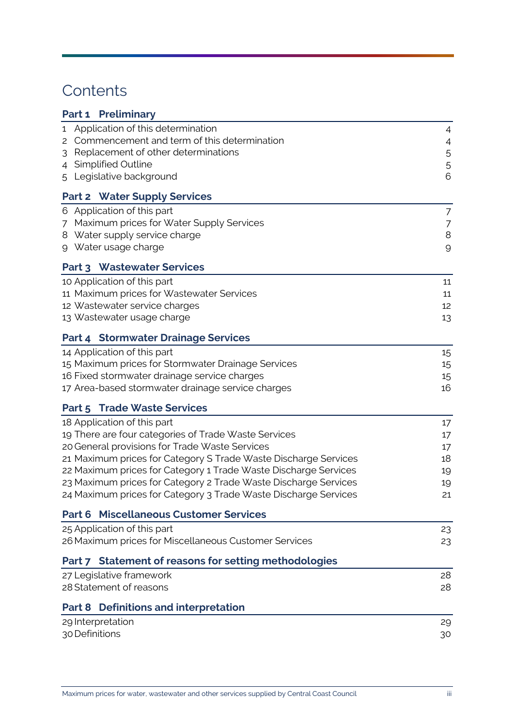# **Contents**

| Part 1 Preliminary                                              |                |
|-----------------------------------------------------------------|----------------|
| Application of this determination<br>1                          | 4              |
| Commencement and term of this determination<br>2                | 4              |
| Replacement of other determinations<br>3                        | 5              |
| <b>Simplified Outline</b><br>4                                  | 5              |
| Legislative background<br>5                                     | 6              |
| <b>Part 2 Water Supply Services</b>                             |                |
| 6 Application of this part                                      | $\overline{7}$ |
| Maximum prices for Water Supply Services<br>7                   | $\overline{7}$ |
| Water supply service charge<br>8                                | $\,8\,$        |
| Water usage charge<br>9                                         | $\mathcal{G}$  |
| Part 3 Wastewater Services                                      |                |
| 10 Application of this part                                     | 11             |
| 11 Maximum prices for Wastewater Services                       | 11             |
| 12 Wastewater service charges                                   | 12             |
| 13 Wastewater usage charge                                      | 13             |
| <b>Part 4 Stormwater Drainage Services</b>                      |                |
| 14 Application of this part                                     | 15             |
| 15 Maximum prices for Stormwater Drainage Services              | 15             |
| 16 Fixed stormwater drainage service charges                    | 15             |
| 17 Area-based stormwater drainage service charges               | 16             |
| <b>Part 5 Trade Waste Services</b>                              |                |
| 18 Application of this part                                     | 17             |
| 19 There are four categories of Trade Waste Services            | 17             |
| 20 General provisions for Trade Waste Services                  | 17             |
| 21 Maximum prices for Category S Trade Waste Discharge Services | 18             |
| 22 Maximum prices for Category 1 Trade Waste Discharge Services | 19             |
| 23 Maximum prices for Category 2 Trade Waste Discharge Services | 19             |
| 24 Maximum prices for Category 3 Trade Waste Discharge Services | 21             |
| <b>Miscellaneous Customer Services</b><br>Part 6                |                |
| 25 Application of this part                                     | 23             |
| 26 Maximum prices for Miscellaneous Customer Services           | 23             |
| Part 7 Statement of reasons for setting methodologies           |                |
| 27 Legislative framework                                        | 28             |
| 28 Statement of reasons                                         | 28             |
| <b>Definitions and interpretation</b><br>Part 8                 |                |
| 29 Interpretation                                               | 29             |
| 30 Definitions                                                  | 30             |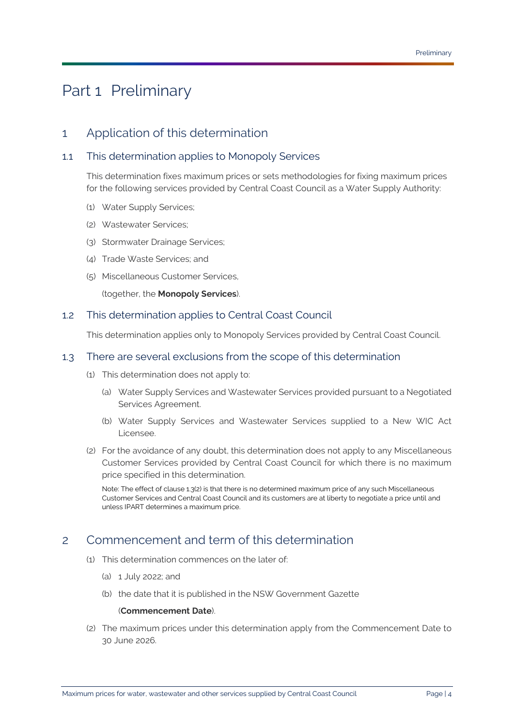# <span id="page-3-0"></span>Part 1 Preliminary

## <span id="page-3-1"></span>1 Application of this determination

### <span id="page-3-5"></span>1.1 This determination applies to Monopoly Services

This determination fixes maximum prices or sets methodologies for fixing maximum prices for the following services provided by [Central Coast Council](#page-31-0) as a [Water Supply Authority:](#page-35-0)

- (1) [Water Supply Services;](#page-35-1)
- (2) [Wastewater Services;](#page-34-0)
- (3) [Stormwater Drainage Services;](#page-34-1)
- (4) [Trade Waste Services;](#page-34-2) and
- (5) [Miscellaneous Customer Services,](#page-32-0)

(together, the **[Monopoly Services](#page-32-1)**).

### 1.2 This determination applies to [Central Coast Council](#page-31-0)

This determination applies only to [Monopoly Services](#page-32-1) provided by [Central Coast Council.](#page-31-0)

### 1.3 There are several exclusions from the scope of this determination

- (1) This determination does not apply to:
	- (a) [Water Supply Services](#page-35-1) an[d Wastewater Services](#page-34-0) provided pursuant to a [Negotiated](#page-32-2)  [Services Agreement.](#page-32-2)
	- (b) [Water Supply Services](#page-35-1) and [Wastewater Services](#page-34-0) supplied to a [New WIC Act](#page-32-3)  [Licensee.](#page-32-3)
- <span id="page-3-3"></span>(2) For the avoidance of any doubt, this determination does not apply to any [Miscellaneous](#page-32-0)  [Customer Services](#page-32-0) provided by [Central Coast Council](#page-31-0) for which there is no maximum price specified in this determination.

Note: The effect of claus[e 1.3\(2\)](#page-3-3) is that there is no determined maximum price of any suc[h Miscellaneous](#page-32-0)  [Customer Services](#page-32-0) an[d Central Coast Council](#page-31-0) and its customers are at liberty to negotiate a price until and unles[s IPART](#page-31-1) determines a maximum price.

# <span id="page-3-4"></span><span id="page-3-2"></span>2 Commencement and term of this determination

- (1) This determination commences on the later of:
	- (a) 1 July 2022; and
	- (b) the date that it is published in the NSW Government Gazette

### (**[Commencement Date](#page-31-2)**).

(2) The maximum prices under this determination apply from the [Commencement Date](#page-31-2) to 30 June 2026.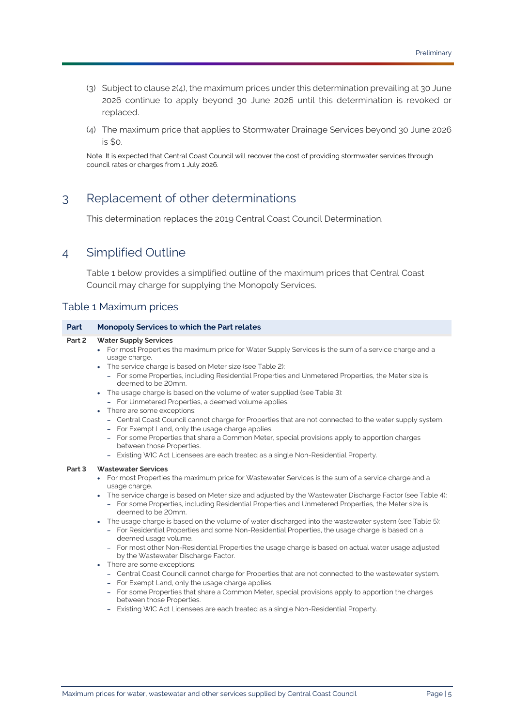- (3) Subject to clause [2\(4\),](#page-4-2) the maximum prices under this determination prevailing at 30 June 2026 continue to apply beyond 30 June 2026 until this determination is revoked or replaced.
- <span id="page-4-2"></span>(4) The maximum price that applies to [Stormwater Drainage Services](#page-34-1) beyond 30 June 2026 is \$0.

Note: It is expected tha[t Central Coast Council](#page-31-0) will recover the cost of providing stormwater services through council rates or charges from 1 July 2026.

## <span id="page-4-0"></span>3 Replacement of other determinations

This determination replaces the [2019 Central Coast Council Determination.](#page-30-0)

## <span id="page-4-1"></span>4 Simplified Outline

[Table 1](#page-4-3) below provides a simplified outline of the maximum prices that [Central Coast](#page-31-0)  [Council](#page-31-0) may charge for supplying the [Monopoly Services.](#page-32-1)

### <span id="page-4-3"></span>Table 1 Maximum prices

#### **Part Monopoly Services to which the Part relates**

#### **[Part 2](#page-6-0) [Water Supply Services](#page-35-1)**

- For mos[t Properties](#page-33-0) the maximum price fo[r Water Supply Services](#page-35-1) is the sum of a service charge and a usage charge.
- The service charge is based o[n Meter](#page-32-4) size (se[e Table](#page-8-1) 2):
	- For som[e Properties,](#page-33-0) includin[g Residential Properties](#page-33-1) and [Unmetered Properties,](#page-34-3) th[e Meter](#page-32-4) size is deemed to be 20mm.
- The usage charge is based on the volume of water supplied (se[e Table](#page-9-0) 3):
	- For [Unmetered Properties,](#page-34-3) a deemed volume applies.
- There are some exceptions:
	- [Central Coast Council](#page-31-0) cannot charge fo[r Properties](#page-33-0) that are not connected to the water supply system.
	- For [Exempt Land,](#page-31-3) only the usage charge applies.
	- For som[e Properties](#page-33-0) that share a [Common Meter,](#page-31-4) special provisions apply to apportion charges between thos[e Properties.](#page-33-0)
	- [Existing WIC Act Licensees](#page-31-5) are each treated as a single [Non-Residential Property.](#page-32-5)

#### **[Part 3](#page-10-0) [Wastewater](#page-34-0) Services**

- For mos[t Properties](#page-33-0) the maximum price fo[r Wastewater Services](#page-34-0) is the sum of a service charge and a usage charge.
- The service charge is based o[n Meter](#page-32-4) size and adjusted by the [Wastewater Discharge Factor](#page-34-4) (se[e Table](#page-11-1) 4):
	- For som[e Properties,](#page-33-0) includin[g Residential Properties](#page-33-1) an[d Unmetered Properties,](#page-34-3) th[e Meter](#page-32-4) size is deemed to be 20mm.
- The usage charge is based on the volume of water discharged into the wastewater system (see [Table](#page-13-0) 5):
	- For [Residential Properties](#page-33-1) and some [Non-Residential Properties,](#page-32-6) the usage charge is based on a deemed usage volume.
	- For most other [Non-Residential Properties](#page-32-6) the usage charge is based on actual water usage adjusted by the [Wastewater Discharge Factor.](#page-34-4)
- There are some exceptions:
	- [Central Coast Council](#page-31-0) cannot charge fo[r Properties](#page-33-0) that are not connected to the wastewater system.
	- For [Exempt Land,](#page-31-3) only the usage charge applies.
	- For som[e Properties](#page-33-0) that share a [Common Meter,](#page-31-4) special provisions apply to apportion the charges between thos[e Properties.](#page-33-0)
	- [Existing WIC Act Licensees](#page-31-5) are each treated as a single [Non-Residential](#page-32-5) Property.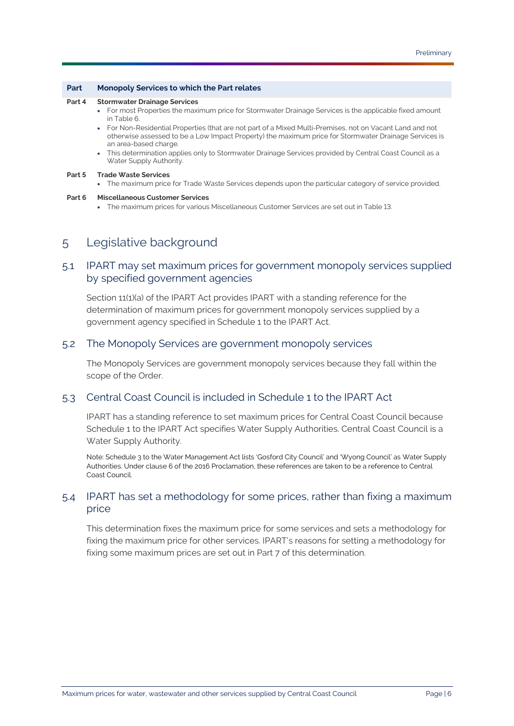#### **Part Monopoly Services to which the Part relates**

#### **[Part 4](#page-14-0) [Stormwater Drainage Services](#page-34-1)**

- For mos[t Properties](#page-33-0) the maximum price fo[r Stormwater Drainage Services](#page-34-1) is the applicable fixed amount i[n Table](#page-15-1) 6.
- Fo[r Non-Residential Properties](#page-32-6) (that are not part of [a Mixed Multi-Premises,](#page-32-7) not o[n Vacant Land](#page-34-5) and not otherwise assessed to be [a Low Impact Property\)](#page-32-8) the maximum price fo[r Stormwater Drainage Services](#page-34-1) is an area-based charge.
- This determination applies only t[o Stormwater Drainage Services](#page-34-1) provided b[y Central Coast Council](#page-31-0) as a [Water Supply Authority.](#page-35-0)

#### **[Part 5](#page-16-0) [Trade Waste Services](#page-34-2)**

• The maximum price fo[r Trade Waste Services](#page-34-2) depends upon the particular category of service provided.

#### <span id="page-5-0"></span>**[Part 6](#page-22-0) [Miscellaneous Customer Services](#page-32-0)**

• The maximum prices for various [Miscellaneous Customer Services](#page-32-0) are set out in [Table](#page-23-0) 13.

## 5 Legislative background

### 5.1 [IPART](#page-31-1) may set maximum prices for government monopoly services supplied by specified government agencies

Section 11(1)(a) of the [IPART Act](#page-31-6) provides [IPART](#page-31-1) with a standing reference for the determination of maximum prices for government monopoly services supplied by a government agency specified in Schedule 1 to the [IPART Act.](#page-31-6)

### 5.2 The [Monopoly Services](#page-32-1) are government monopoly services

Th[e Monopoly Services](#page-32-1) are government monopoly services because they fall within the scope of the [Order.](#page-33-2)

### 5.3 [Central Coast Council](#page-31-0) is included in Schedule 1 to the [IPART Act](#page-31-6)

[IPART](#page-31-1) has a standing reference to set maximum prices for [Central Coast Council](#page-31-0) because Schedule 1 to the [IPART Act](#page-31-6) specifies [Water Supply Authorities.](#page-35-2) [Central Coast Council](#page-31-0) is a [Water Supply Authority.](#page-35-0)

Note: Schedule 3 to th[e Water Management Act](#page-35-3) lists 'Gosford City Council' and 'Wyong Council' a[s Water Supply](#page-35-2)  [Authorities.](#page-35-2) Under clause 6 of th[e 2016 Proclamation,](#page-30-1) these references are taken to be a reference t[o Central](#page-31-0)  [Coast Council.](#page-31-0)

## 5.4 [IPART](#page-31-1) has set a methodology for some prices, rather than fixing a maximum price

This determination fixes the maximum price for some services and sets a methodology for fixing the maximum price for other services. [IPART's](#page-31-1) reasons for setting a methodology for fixing some maximum prices are set out in [Part 7](#page-27-0) of this determination.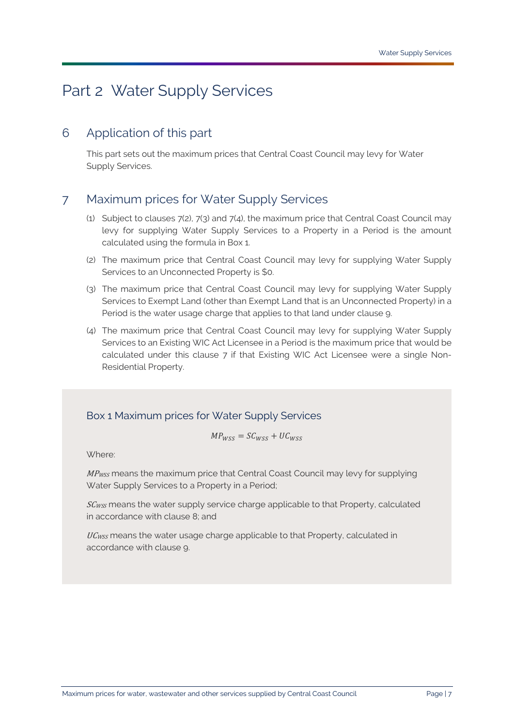# <span id="page-6-0"></span>Part 2 [Water Supply Services](#page-35-1)

## <span id="page-6-1"></span>6 Application of this part

This part sets out the maximum prices that [Central Coast Council](#page-31-0) may levy for [Water](#page-35-1)  [Supply Services.](#page-35-1)

## <span id="page-6-2"></span>7 Maximum prices for [Water Supply Services](#page-35-1)

- (1) Subject to clauses [7\(2\),](#page-6-3) [7\(3\)](#page-6-4) and [7\(4\),](#page-6-5) the maximum price that [Central Coast Council](#page-31-0) may levy for supplying [Water Supply Services](#page-35-1) to a [Property](#page-33-3) in a [Period](#page-33-4) is the amount calculated using the formula in [Box 1.](#page-6-6)
- <span id="page-6-3"></span>(2) The maximum price that [Central Coast Council](#page-31-0) may levy for supplying [Water Supply](#page-35-1)  [Services](#page-35-1) to a[n Unconnected Property](#page-34-6) is \$0.
- <span id="page-6-4"></span>(3) The maximum price that [Central Coast Council](#page-31-0) may levy for supplying [Water Supply](#page-35-1)  [Services](#page-35-1) t[o Exempt Land](#page-31-3) (other than [Exempt Land](#page-31-3) that is an [Unconnected Property\)](#page-34-6) in a [Period](#page-33-4) is the water usage charge that applies to that land under clause [9.](#page-8-0)
- <span id="page-6-5"></span>(4) The maximum price that [Central Coast Council](#page-31-0) may levy for supplying [Water Supply](#page-35-1)  [Services](#page-35-1) to an [Existing WIC Act Licensee](#page-31-5) in a [Period](#page-33-4) is the maximum price that would be calculated under this clause [7](#page-6-2) if that [Existing WIC Act Licensee](#page-31-5) were a single [Non-](#page-32-5)[Residential Property.](#page-32-5)

## <span id="page-6-6"></span>Box 1 Maximum prices for [Water Supply Services](#page-35-1)

$$
MP_{WSS} = SC_{WSS} + UC_{WSS}
$$

Where:

MP<sub>WSS</sub> means the maximum price that [Central Coast Council](#page-31-0) may levy for supplying [Water Supply Services](#page-35-1) to a [Property](#page-33-3) in a [Period;](#page-33-4)

SCwss means the water supply service charge applicable to that [Property,](#page-33-3) calculated in accordance with clause [8;](#page-7-0) and

UCwss means the water usage charge applicable to that [Property,](#page-33-3) calculated in accordance with clause [9.](#page-8-0)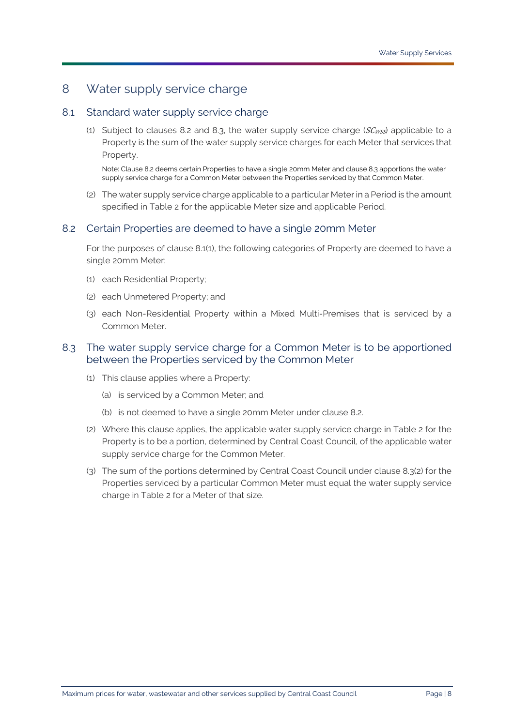## <span id="page-7-0"></span>8 Water supply service charge

### <span id="page-7-3"></span>8.1 Standard water supply service charge

(1) Subject to clauses [8.2](#page-7-1) and [8.3,](#page-7-2) the water supply service charge ( $SC_{WSS}$ ) applicable to a [Property](#page-33-3) is the sum of the water supply service charges for each [Meter](#page-32-4) that services that [Property.](#page-33-3)

Note: Claus[e 8.2](#page-7-1) deems certai[n Properties](#page-33-0) to have a single 20mm [Meter](#page-32-4) and clause [8.3](#page-7-2) apportions the water supply service charge for [a Common Meter](#page-31-4) between th[e Properties](#page-33-0) serviced by tha[t Common Meter.](#page-31-4)

(2) The water supply service charge applicable to a particula[r Meter](#page-32-4) in a [Period](#page-33-4) is the amount specified in [Table 2](#page-8-1) for the applicable [Meter](#page-32-4) size and applicable [Period.](#page-33-4)

### <span id="page-7-1"></span>8.2 Certain [Properties](#page-33-0) are deemed to have a single 20mm [Meter](#page-32-4)

For the purposes of clause [8.1\(1\),](#page-7-3) the following categories of [Property](#page-33-3) are deemed to have a single 20mm [Meter:](#page-32-4)

- (1) each [Residential Property;](#page-33-5)
- (2) each [Unmetered Property;](#page-34-7) and
- (3) each [Non-Residential Property](#page-32-5) within a [Mixed Multi-Premises](#page-32-7) that is serviced by a [Common Meter.](#page-31-4)

### <span id="page-7-2"></span>8.3 The water supply service charge for a [Common Meter](#page-31-4) is to be apportioned between the [Properties](#page-33-0) serviced by the [Common Meter](#page-31-4)

- (1) This clause applies where a [Property:](#page-33-3)
	- (a) is serviced by a [Common Meter;](#page-31-4) and
	- (b) is not deemed to have a single 20mm [Meter](#page-32-4) under clause [8.2.](#page-7-1)
- <span id="page-7-4"></span>(2) Where this clause applies, the applicable water supply service charge in [Table 2](#page-8-1) for the [Property](#page-33-3) is to be a portion, determined by [Central Coast Council,](#page-31-0) of the applicable water supply service charge for the [Common Meter.](#page-31-4)
- (3) The sum of the portions determined by [Central Coast Council](#page-31-0) under clause [8.3\(2\)](#page-7-4) for the [Properties](#page-33-0) serviced by a particular [Common Meter](#page-31-4) must equal the water supply service charge in [Table 2](#page-8-1) for a [Meter](#page-32-4) of that size.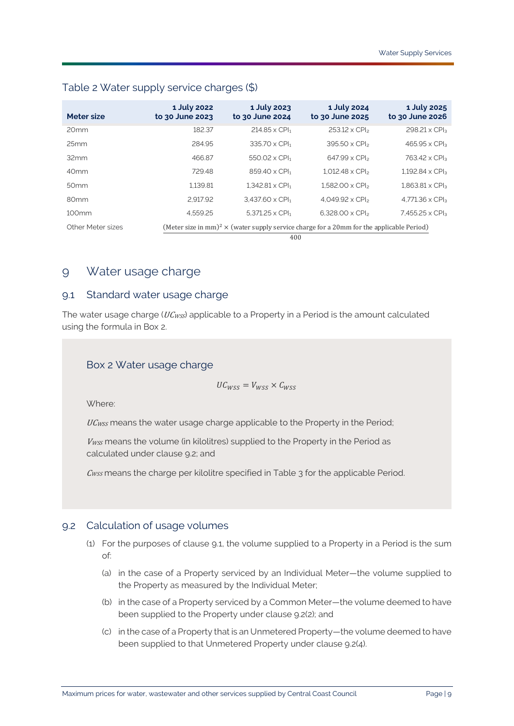| Meter size        | 1 July 2022<br>to 30 June 2023 | 1 July 2023<br>to 30 June 2024   | 1 July 2024<br>to 30 June 2025                                                                              | 1 July 2025<br>to 30 June 2026 |
|-------------------|--------------------------------|----------------------------------|-------------------------------------------------------------------------------------------------------------|--------------------------------|
| 20 <sub>mm</sub>  | 182.37                         | $214.85 \times$ CPI <sub>1</sub> | 253.12 x CPI <sub>2</sub>                                                                                   | $298.21 \times CPI_3$          |
| 25mm              | 284.95                         | 335.70 x CPI1                    | $395.50 \times CP$                                                                                          | $465.95 \times CPI3$           |
| 32mm              | 466.87                         | $550.02 \times \text{CPI}_1$     | $647.99 \times CP$                                                                                          | 763.42 x CPI <sub>3</sub>      |
| 40 <sub>mm</sub>  | 729.48                         | 859.40 x CPI1                    | $1.012.48 \times CP$                                                                                        | $1.192.84 \times CP$           |
| 50 <sub>mm</sub>  | 1.139.81                       | $1.342.81 \times CPI1$           | $1.582.00 \times$ CPI <sub>2</sub>                                                                          | $1.863.81 \times CPI3$         |
| 80 <sub>mm</sub>  | 2.917.92                       | $3.437.60 \times \text{CPI}_1$   | $4.049.92 \times CP$                                                                                        | $4.771.36 \times CP$           |
| 100 <sub>mm</sub> | 4.559.25                       | $5.371.25 \times CPI1$           | $6.328.00 \times CP$                                                                                        | 7.455.25 x CPI <sub>3</sub>    |
| Other Meter sizes |                                | 400                              | (Meter size in mm) <sup>2</sup> $\times$ (water supply service charge for a 20mm for the applicable Period) |                                |

### <span id="page-8-1"></span>Table 2 Water supply service charges (\$)

<span id="page-8-0"></span>9 Water usage charge

### <span id="page-8-4"></span>9.1 Standard water usage charge

The water usage charge ( $UC_{WSS}$ ) applicable to a [Property](#page-33-3) in a [Period](#page-33-4) is the amount calculated using the formula in [Box 2.](#page-8-2)

### <span id="page-8-2"></span>Box 2 Water usage charge

$$
UC_{WSS}=V_{WSS}\times C_{WSS}
$$

Where:

UC<sub>WSS</sub> means the water usage charge applicable to the [Property](#page-33-3) in the [Period;](#page-33-4)

 $V_{WSS}$  means the volume (in kilolitres) supplied to the [Property](#page-33-3) in the [Period](#page-33-4) as calculated under clause [9.2;](#page-8-3) and

 $C_{WSS}$  means the charge per kilolitre specified in Table  $3$  for the applicable [Period.](#page-33-4)

### <span id="page-8-3"></span>9.2 Calculation of usage volumes

- (1) For the purposes of clause [9.1,](#page-8-4) the volume supplied to a [Property](#page-33-3) in a [Period](#page-33-4) is the sum of:
	- (a) in the case of a [Property](#page-33-3) serviced by an [Individual Meter—](#page-31-7)the volume supplied to the [Property](#page-33-3) as measured by the [Individual Meter;](#page-31-7)
	- (b) in the case of [a Property](#page-33-3) serviced by a [Common Meter—](#page-31-4)the volume deemed to have been supplied to the [Property](#page-33-3) under clause [9.2\(2\);](#page-9-1) and
	- (c) in the case of [a Property](#page-33-3) that is a[n Unmetered Property—](#page-34-7)the volume deemed to have been supplied to that [Unmetered Property](#page-34-7) under clause [9.2\(4\).](#page-9-2)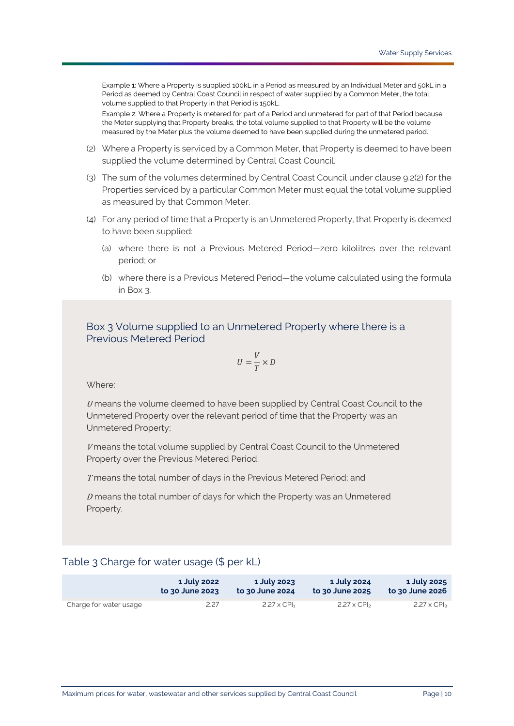Example 1: Where [a Property](#page-33-3) is supplied 100kL in [a Period](#page-33-4) as measured by a[n Individual Meter](#page-31-7) and 50kL in a [Period](#page-33-4) as deemed b[y Central Coast Council](#page-31-0) in respect of water supplied by [a Common Meter,](#page-31-4) the total volume supplied to tha[t Property](#page-33-3) in tha[t Period](#page-33-4) is 150kL.

Example 2: Where [a Property](#page-33-3) is metered for part of [a Period](#page-33-4) and unmetered for part of tha[t Period](#page-33-4) because th[e Meter](#page-32-4) supplying tha[t Property](#page-33-3) breaks, the total volume supplied to tha[t Property](#page-33-3) will be the volume measured by th[e Meter](#page-32-4) plus the volume deemed to have been supplied during the unmetered period.

- <span id="page-9-1"></span>(2) Where [a Property](#page-33-3) is serviced by [a Common Meter,](#page-31-4) that [Property](#page-33-3) is deemed to have been supplied the volume determined by [Central Coast Council.](#page-31-0)
- (3) The sum of the volumes determined b[y Central Coast Council](#page-31-0) under clause [9.2\(2\)](#page-9-1) for the [Properties](#page-33-0) serviced by a particular [Common Meter](#page-31-4) must equal the total volume supplied as measured by that [Common Meter.](#page-31-4)
- <span id="page-9-2"></span>(4) For any period of time that [a Property](#page-33-3) is an [Unmetered Property,](#page-34-7) that [Property](#page-33-3) is deemed to have been supplied:
	- (a) where there is not a [Previous Metered Period—](#page-33-6)zero kilolitres over the relevant period; or
	- (b) where there is a [Previous Metered Period—](#page-33-6)the volume calculated using the formula in [Box 3.](#page-9-3)

<span id="page-9-3"></span>Box 3 Volume supplied to an [Unmetered Property](#page-34-7) where there is a [Previous Metered Period](#page-33-6)

$$
U = \frac{V}{T} \times D
$$

Where:

 $U$  means the volume deemed to have been supplied by [Central Coast Council](#page-31-0) to the [Unmetered Property](#page-34-7) over the relevant period of time that the [Property](#page-33-3) was an [Unmetered Property;](#page-34-7)

V means the total volume supplied by [Central Coast Council](#page-31-0) to the Unmetered [Property](#page-34-7) over th[e Previous Metered Period;](#page-33-6)

T means the total number of days in the [Previous Metered Period;](#page-33-6) and

 $D$  means the total number of days for which the [Property](#page-33-3) was an Unmetered [Property.](#page-34-7)

### <span id="page-9-0"></span>Table 3 Charge for water usage (\$ per kL)

|                        | 1 July 2022     | 1 July 2023                    | 1 July 2024                    | 1 July 2025         |
|------------------------|-----------------|--------------------------------|--------------------------------|---------------------|
|                        | to 30 June 2023 | to 30 June 2024                | to 30 June 2025                | to 30 June 2026     |
| Charge for water usage | 2.27            | $2.27 \times$ CPI <sub>1</sub> | $2.27 \times$ CPI <sub>2</sub> | $2.27 \times CP$ la |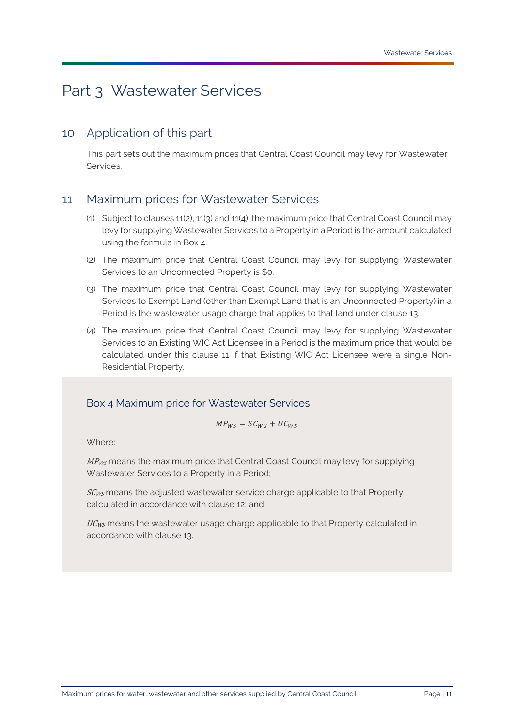# <span id="page-10-0"></span>Part 3 [Wastewater Services](#page-34-0)

## <span id="page-10-1"></span>10 Application of this part

This part sets out the maximum prices that [Central Coast Council](#page-31-0) may levy for [Wastewater](#page-34-0)  [Services.](#page-34-0)

## <span id="page-10-2"></span>11 Maximum prices for [Wastewater Services](#page-34-0)

- (1) Subject to clauses [11\(2\),](#page-10-3) [11\(3\)](#page-10-4) and [11\(4\),](#page-10-5) the maximum price tha[t Central Coast Council](#page-31-0) may levy for supplyin[g Wastewater Services](#page-34-0) to [a Property](#page-33-3) in a [Period](#page-33-4) is the amount calculated using the formula in [Box 4.](#page-10-6)
- <span id="page-10-3"></span>(2) The maximum price that [Central Coast Council](#page-31-0) may levy for supplying [Wastewater](#page-34-0)  [Services](#page-34-0) to a[n Unconnected Property](#page-34-6) is \$0.
- <span id="page-10-4"></span>(3) The maximum price that [Central Coast Council](#page-31-0) may levy for supplying [Wastewater](#page-34-0)  [Services](#page-34-0) t[o Exempt Land](#page-31-3) (other than [Exempt Land](#page-31-3) that is an [Unconnected Property\)](#page-34-6) in a [Period](#page-33-4) is the wastewater usage charge that applies to that land under clause [13.](#page-12-0)
- <span id="page-10-5"></span>(4) The maximum price that [Central Coast Council](#page-31-0) may levy for supplying [Wastewater](#page-34-0)  [Services](#page-34-0) to an [Existing WIC Act Licensee](#page-31-5) in a [Period](#page-33-4) is the maximum price that would be calculated under this clause [11](#page-10-2) if that [Existing WIC Act Licensee](#page-31-5) were a single [Non-](#page-32-5)[Residential Property.](#page-32-5)

## <span id="page-10-6"></span>Box 4 Maximum price for [Wastewater Services](#page-34-0)

$$
MP_{WS} = SC_{WS} + UC_{WS}
$$

Where:

MP<sub>WS</sub> means the maximum price that [Central Coast Council](#page-31-0) may levy for supplying [Wastewater Services](#page-34-0) to a [Property](#page-33-3) in a [Period;](#page-33-4)

 $SC_{WS}$  means the adjusted wastewater service charge applicable to that [Property](#page-33-3) calculated in accordance with clause [12;](#page-11-0) and

UC<sub>WS</sub> means the wastewater usage charge applicable to that [Property](#page-33-3) calculated in accordance with clause [13.](#page-12-0)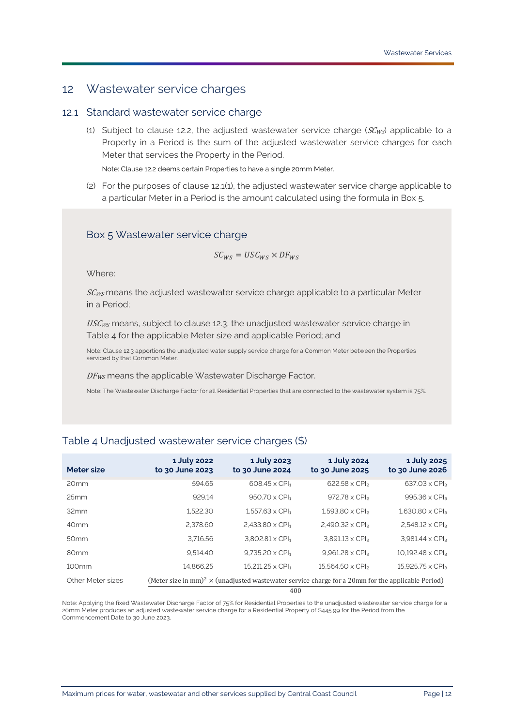## <span id="page-11-0"></span>12 Wastewater service charges

### <span id="page-11-2"></span>12.1 Standard wastewater service charge

(1) Subject to clause [12.2,](#page-12-1) the adjusted wastewater service charge ( $SC_{WS}$ ) applicable to a [Property](#page-33-3) in a [Period](#page-33-4) is the sum of the adjusted wastewater service charges for each [Meter](#page-32-4) that services the [Property](#page-33-3) in the [Period.](#page-33-4)

Note: Claus[e 12.2](#page-12-1) deems certain [Properties](#page-33-0) to have a single 20m[m Meter.](#page-32-4)

(2) For the purposes of clause [12.1\(1\),](#page-11-2) the adjusted wastewater service charge applicable to a particular [Meter](#page-32-4) in a [Period](#page-33-4) is the amount calculated using the formula in [Box 5.](#page-11-3)

### <span id="page-11-3"></span>Box 5 Wastewater service charge

 $SC_{WS} = USC_{WS} \times DF_{WS}$ 

Where:

SC<sub>WS</sub> means the adjusted wastewater service charge applicable to a particular [Meter](#page-32-4) in a [Period;](#page-33-4)

USCws means, subject to clause [12.3,](#page-12-2) the unadjusted wastewater service charge in [Table 4](#page-11-1) for the applicable [Meter](#page-32-4) size and applicable [Period;](#page-33-4) and

Note: Claus[e 12.3](#page-12-2) apportions the unadjusted water supply service charge for [a Common Meter](#page-31-4) between th[e Properties](#page-33-0) serviced by tha[t Common Meter.](#page-31-4)

DF<sub>WS</sub> means the applicable [Wastewater Discharge Factor.](#page-34-4)

Note: Th[e Wastewater Discharge Factor](#page-34-4) for al[l Residential Properties](#page-33-1) that are connected to the wastewater system is 75%.

| Meter size        | 1 July 2022<br>to 30 June 2023 | 1 July 2023<br>to 30 June 2024                                                                                       | 1 July 2024<br>to 30 June 2025 | 1 July 2025<br>to 30 June 2026 |
|-------------------|--------------------------------|----------------------------------------------------------------------------------------------------------------------|--------------------------------|--------------------------------|
| 20 <sub>mm</sub>  | 594.65                         | $608.45 \times$ CPI <sub>1</sub>                                                                                     | $622.58 \times CP$             | $637.03 \times CPI3$           |
| 25mm              | 929.14                         | $950.70 \times CPI_1$                                                                                                | $972.78 \times CP$             | 995.36 x CPI <sub>3</sub>      |
| 32mm              | 1.522.30                       | $1.557.63 \times CPI1$                                                                                               | $1.593.80 \times CP$           | $1.630.80 \times CPI3$         |
| 40 <sub>mm</sub>  | 2.378.60                       | $2.433.80 \times \text{CPI}_{1}$                                                                                     | $2.490.32 \times CP$           | $2.548.12 \times CP$           |
| 50 <sub>mm</sub>  | 3.716.56                       | $3.802.81 \times CPI1$                                                                                               | $3.891.13 \times CP$           | $3.981.44 \times CPI3$         |
| 80 <sub>mm</sub>  | 9.514.40                       | $9.735.20 \times \text{CPI}_1$                                                                                       | $9.961.28 \times CP$           | $10.192.48 \times CPI3$        |
| 100 <sub>mm</sub> | 14.866.25                      | $15.211.25 \times CPI1$                                                                                              | $15.564.50 \times CP$          | $15.925.75 \times CPI3$        |
| Other Meter sizes |                                | (Meter size in mm) <sup>2</sup> $\times$ (unadjusted wastewater service charge for a 20mm for the applicable Period) |                                |                                |
|                   |                                | 400                                                                                                                  |                                |                                |

## <span id="page-11-1"></span>Table 4 Unadjusted wastewater service charges (\$)

Note: Applying the fixe[d Wastewater Discharge Factor](#page-34-4) of 75% fo[r Residential Properties](#page-33-1) to the unadjusted wastewater service charge for a 20m[m Meter](#page-32-4) produces an adjusted wastewater service charge for [a Residential Property](#page-33-5) of \$445.99 for th[e Period](#page-33-4) from the [Commencement Date](#page-31-2) to 30 June 2023.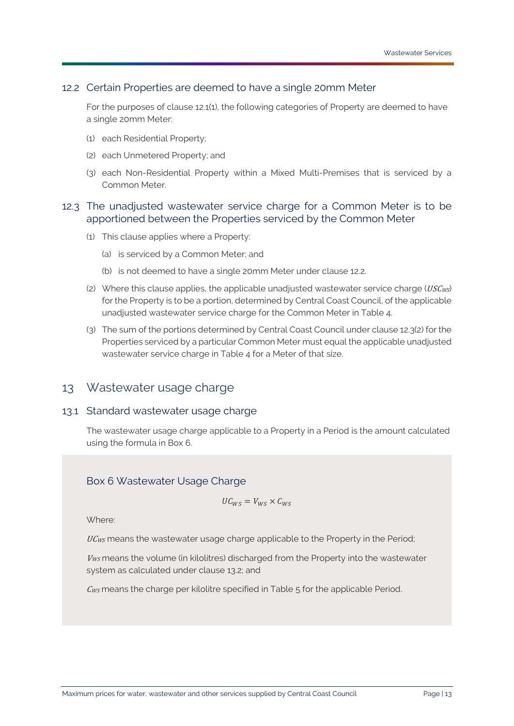### <span id="page-12-1"></span>12.2 Certain [Properties](#page-33-0) are deemed to have a single 20mm [Meter](#page-32-4)

For the purposes of clause [12.1\(1\),](#page-11-2) the following categories o[f Property](#page-33-3) are deemed to have a single 20mm [Meter:](#page-32-4)

- (1) each [Residential Property;](#page-33-5)
- (2) each [Unmetered Property;](#page-34-7) and
- (3) each [Non-Residential Property](#page-32-5) within a [Mixed Multi-Premises](#page-32-7) that is serviced by a [Common Meter.](#page-31-4)

### <span id="page-12-2"></span>12.3 The unadjusted wastewater service charge for a [Common Meter](#page-31-4) is to be apportioned between the [Properties](#page-33-0) serviced by the [Common Meter](#page-31-4)

- (1) This clause applies where a [Property:](#page-33-3)
	- (a) is serviced by a [Common Meter;](#page-31-4) and
	- (b) is not deemed to have a single 20mm [Meter](#page-32-4) under clause [12.2.](#page-12-1)
- <span id="page-12-3"></span>(2) Where this clause applies, the applicable unadjusted wastewater service charge ( $\textit{USCws}$ ) for the [Property](#page-33-3) is to be a portion, determined b[y Central Coast Council,](#page-31-0) of the applicable unadjusted wastewater service charge for the [Common Meter](#page-31-4) i[n Table 4.](#page-11-1)
- (3) The sum of the portions determined b[y Central Coast Council](#page-31-0) under clause [12.3\(2\)](#page-12-3) for the [Properties](#page-33-0) serviced by a particular [Common Meter](#page-31-4) must equal the applicable unadjusted wastewater service charge in [Table 4](#page-11-1) for a [Meter](#page-32-4) of that size.

## <span id="page-12-5"></span><span id="page-12-0"></span>13 Wastewater usage charge

### 13.1 Standard wastewater usage charge

The wastewater usage charge applicable to a [Property](#page-33-3) in a [Period](#page-33-4) is the amount calculated using the formula i[n Box 6.](#page-12-4)

### <span id="page-12-4"></span>Box 6 Wastewater Usage Charge

$$
UC_{WS}=V_{WS}\times C_{WS}
$$

Where:

UC<sub>WS</sub> means the wastewater usage charge applicable to the [Property](#page-33-3) in the [Period;](#page-33-4)

 $V_{WS}$  means the volume (in kilolitres) discharged from th[e Property](#page-33-3) into the wastewater system as calculated under clause [13.2;](#page-13-1) and

 $C_{WS}$  means the charge per kilolitre specified in [Table 5](#page-13-0) for the applicable [Period.](#page-33-4)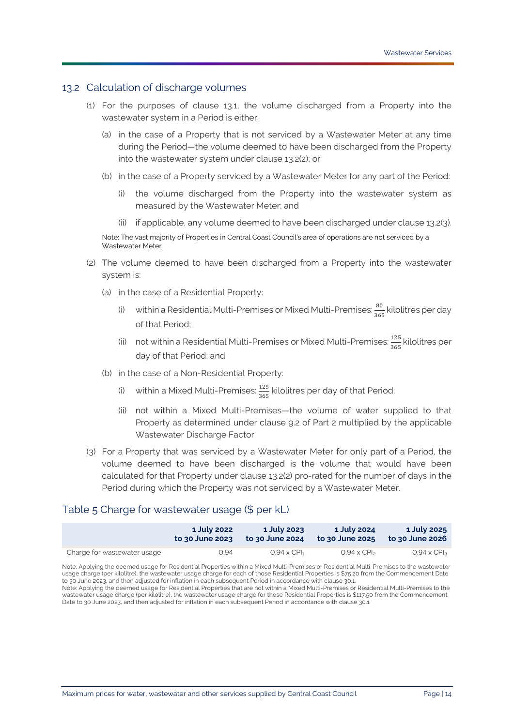### <span id="page-13-1"></span>13.2 Calculation of discharge volumes

- (1) For the purposes of clause [13.1,](#page-12-5) the volume discharged from a [Property](#page-33-3) into the wastewater system in a [Period](#page-33-4) is either:
	- (a) in the case of a [Property](#page-33-3) that is not serviced by a [Wastewater Meter](#page-34-8) at any time during the [Period—](#page-33-4)the volume deemed to have been discharged from the [Property](#page-33-3) into the wastewater system under clause [13.2\(2\);](#page-13-2) or
	- (b) in the case of a [Property](#page-33-3) serviced by a [Wastewater Meter](#page-34-8) for any part of th[e Period:](#page-33-4)
		- (i) the volume discharged from the [Property](#page-33-3) into the wastewater system as measured by the [Wastewater Meter;](#page-34-8) and
		- (ii) if applicable, any volume deemed to have been discharged under clause  $13.2(3)$ .

Note: The vast majority o[f Properties](#page-33-0) i[n Central Coast Council's](#page-31-0) area of operations are not serviced by a [Wastewater Meter.](#page-34-8)

- <span id="page-13-2"></span>(2) The volume deemed to have been discharged from a [Property](#page-33-3) into the wastewater system is:
	- (a) in the case of a [Residential Property:](#page-33-5)
		- (i) within a [Residential Multi-Premises](#page-33-7) o[r Mixed Multi-Premises:](#page-32-7)  $\frac{80}{300}$  $\frac{36}{365}$  kilolitres per day of that [Period;](#page-33-4)
		- (ii) not within [a Residential Multi-Premises](#page-33-7) o[r Mixed Multi-Premises:](#page-32-7)  $\frac{125}{365}$  kilolitres per day of that [Period;](#page-33-4) and
	- (b) in the case of a [Non-Residential Property:](#page-32-5)
		- (i) within a [Mixed Multi-Premises:](#page-32-7)  $\frac{125}{365}$  kilolitres per day of that [Period;](#page-33-4)
		- (ii) not within a [Mixed Multi-Premises—](#page-32-7)the volume of water supplied to that [Property](#page-33-3) as determined under clause [9.2](#page-8-3) of [Part 2](#page-6-0) multiplied by the applicable [Wastewater Discharge Factor.](#page-34-4)
- <span id="page-13-3"></span>(3) For a [Property](#page-33-3) that was serviced by a [Wastewater Meter](#page-34-8) for only part of a [Period,](#page-33-4) the volume deemed to have been discharged is the volume that would have been calculated for that [Property](#page-33-3) under clause [13.2\(2\)](#page-13-2) pro-rated for the number of days in the [Period](#page-33-4) during which th[e Property](#page-33-3) was not serviced by a [Wastewater Meter.](#page-34-8)

### <span id="page-13-0"></span>Table 5 Charge for wastewater usage (\$ per kL)

|                             | 1 July 2022     | 1 July 2023                    | 1 July 2024                    | <b>1 July 2025</b>       |
|-----------------------------|-----------------|--------------------------------|--------------------------------|--------------------------|
|                             | to 30 June 2023 | to 30 June 2024                | to 30 June 2025                | to 30 June 2026          |
| Charge for wastewater usage | 0.94            | $0.94 \times$ CPI <sub>1</sub> | $0.94 \times$ CPI <sub>2</sub> | $0.94 \times$ CPI $_{3}$ |

Note: Applying the deemed usage for [Residential Properties](#page-33-1) within [a Mixed Multi-Premises](#page-32-7) o[r Residential Multi-Premises](#page-33-7) to the wastewater usage charge (per kilolitre), the wastewater usage charge for each of thos[e Residential Properties](#page-33-1) is \$75.20 from th[e Commencement Date](#page-31-2) to 30 June 2023, and then adjusted for inflation in each subsequen[t Period](#page-33-4) in accordance with claus[e 30.1.](#page-29-1)

Note: Applying the deemed usage for [Residential Properties](#page-33-1) that are not within [a Mixed Multi-Premises](#page-32-7) o[r Residential Multi-Premises](#page-33-7) to the wastewater usage charge (per kilolitre), the wastewater usage charge for thos[e Residential Properties](#page-33-1) is \$117.50 from th[e Commencement](#page-31-2)  [Date](#page-31-2) to 30 June 2023, and then adjusted for inflation in each subsequen[t Period](#page-33-4) in accordance with clause [30.1.](#page-29-1)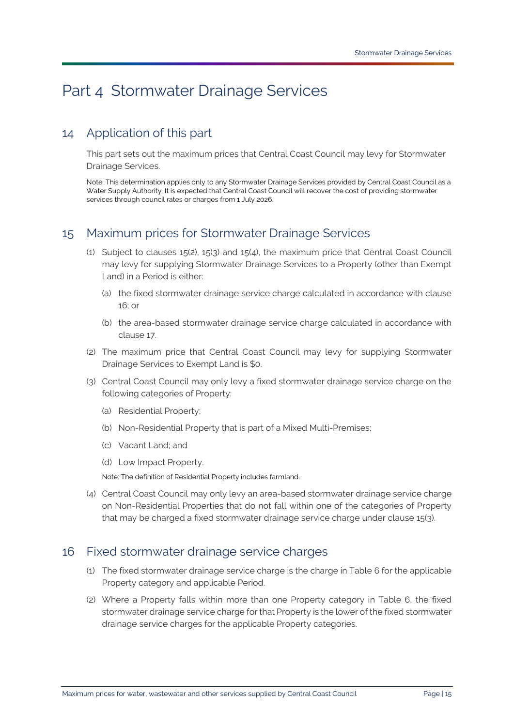# <span id="page-14-0"></span>Part 4 [Stormwater Drainage Services](#page-34-1)

# <span id="page-14-1"></span>14 Application of this part

This part sets out the maximum prices that [Central Coast Council](#page-31-0) may levy for [Stormwater](#page-34-1)  [Drainage Services.](#page-34-1)

Note: This determination applies only to any [Stormwater Drainage Services](#page-34-1) provided b[y Central Coast Council](#page-31-0) as a [Water Supply Authority.](#page-35-0) It is expected tha[t Central Coast Council](#page-31-0) will recover the cost of providing stormwater services through council rates or charges from 1 July 2026.

## <span id="page-14-2"></span>15 Maximum prices for [Stormwater Drainage Services](#page-34-1)

- (1) Subject to clauses [15\(2\),](#page-14-4) [15\(3\)](#page-14-5) and [15\(4\),](#page-14-6) the maximum price that [Central Coast Council](#page-31-0) may levy for supplying [Stormwater Drainage Services](#page-34-1) to a [Property](#page-33-3) (other than [Exempt](#page-31-3)  [Land\)](#page-31-3) in a [Period](#page-33-4) is either:
	- (a) the fixed stormwater drainage service charge calculated in accordance with clause [16;](#page-14-3) or
	- (b) the area-based stormwater drainage service charge calculated in accordance with clause [17.](#page-15-0)
- <span id="page-14-4"></span>(2) The maximum price that [Central Coast Council](#page-31-0) may levy for supplying [Stormwater](#page-34-1)  [Drainage Services](#page-34-1) to [Exempt Land](#page-31-3) is \$0.
- <span id="page-14-5"></span>(3) [Central Coast Council](#page-31-0) may only levy a fixed stormwater drainage service charge on the following categories of [Property:](#page-33-3)
	- (a) [Residential Property;](#page-33-5)
	- (b) [Non-Residential Property](#page-32-5) that is part of a [Mixed Multi-Premises;](#page-32-7)
	- (c) [Vacant Land;](#page-34-5) and
	- (d) [Low Impact Property.](#page-32-8)

Note: The definition o[f Residential Property](#page-33-5) includes farmland.

<span id="page-14-6"></span>(4) Central Coast Council may only levy an area-based stormwater drainage service charge on [Non-Residential Properties](#page-32-6) that do not fall within one of the categories of [Property](#page-33-3) that may be charged a fixed stormwater drainage service charge under clause [15\(3\).](#page-14-5)

## <span id="page-14-3"></span>16 Fixed stormwater drainage service charges

- (1) The fixed stormwater drainage service charge is the charge in [Table 6](#page-15-1) for the applicable [Property](#page-33-3) category and applicable [Period.](#page-33-4)
- (2) Where a [Property](#page-33-3) falls within more than one [Property](#page-33-3) category in [Table 6,](#page-15-1) the fixed stormwater drainage service charge for tha[t Property](#page-33-3) is the lower of the fixed stormwater drainage service charges for the applicable [Property](#page-33-3) categories.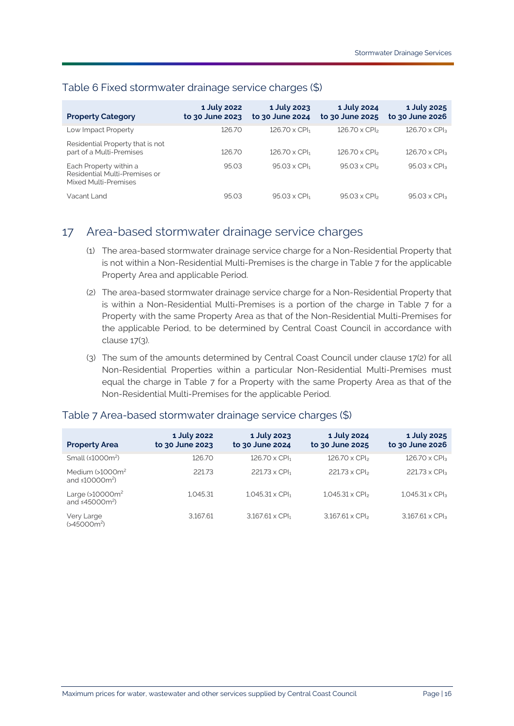| <b>Property Category</b>                                                        | 1 July 2022<br>to 30 June 2023 | 1 July 2023<br>to 30 June 2024   | 1 July 2024<br>to 30 June 2025  | 1 July 2025<br>to 30 June 2026  |
|---------------------------------------------------------------------------------|--------------------------------|----------------------------------|---------------------------------|---------------------------------|
| Low Impact Property                                                             | 126.70                         | $126.70 \times$ CPI <sub>1</sub> | $126.70 \times CP$              | $126.70 \times CPI3$            |
| Residential Property that is not<br>part of a Multi-Premises                    | 126.70                         | $126.70 \times$ CPI <sub>1</sub> | $126.70 \times CP$              | $126.70 \times CPI_3$           |
| Each Property within a<br>Residential Multi-Premises or<br>Mixed Multi-Premises | 95.03                          | $95.03 \times$ CPI <sub>1</sub>  | $95.03 \times$ CPI <sub>2</sub> | $95.03 \times$ CPI <sub>3</sub> |
| Vacant Land                                                                     | 95.03                          | $95.03 \times$ CPI <sub>1</sub>  | $95.03 \times$ CPI <sub>2</sub> | $95.03 \times$ CPI <sub>3</sub> |

### <span id="page-15-1"></span>Table 6 Fixed stormwater drainage service charges (\$)

# <span id="page-15-0"></span>17 Area-based stormwater drainage service charges

- (1) The area-based stormwater drainage service charge for a [Non-Residential Property](#page-32-5) that is not within a [Non-Residential Multi-Premises](#page-32-10) is the charge in [Table 7](#page-15-2) for the applicable [Property Area](#page-33-8) and applicable [Period.](#page-33-4)
- <span id="page-15-4"></span>(2) The area-based stormwater drainage service charge for a [Non-Residential Property](#page-32-5) that is within a [Non-Residential Multi-Premises](#page-32-10) is a portion of the charge in [Table 7](#page-15-2) for a [Property](#page-33-3) with the same [Property Area](#page-33-8) as that of the [Non-Residential Multi-Premises](#page-32-10) for the applicable [Period,](#page-33-4) to be determined by [Central Coast Council](#page-31-0) in accordance with clause [17\(3\).](#page-15-3)
- <span id="page-15-3"></span>(3) The sum of the amounts determined by [Central Coast Council](#page-31-0) under clause [17\(2\)](#page-15-4) for all [Non-Residential Properties](#page-32-6) within a particular [Non-Residential Multi-Premises](#page-32-10) must equal the charge in [Table 7](#page-15-2) for a [Property](#page-33-3) with the same [Property Area](#page-33-8) as that of the [Non-Residential Multi-Premises](#page-32-10) for the applicable [Period.](#page-33-4)

#### **[Property](#page-33-3) Area 1 July 2022 to 30 June 2023 1 July 2023 to 30 June 2024 1 July 2024 to 30 June 2025 1 July 2025 to 30 June 2026** Small (≤1000m<sup>2</sup>) 126.70 126.70 x CPI<sub>1</sub> 126.70 x CPI<sub>2</sub> 126.70 x CPI<sub>3</sub> Medium (>1000m<sup>2</sup> and ≤10000m<sup>2</sup>)  $221.73 \times \text{CPI}_1$  221.73  $\times \text{CPI}_2$  221.73  $\times \text{CPI}_3$ Large (>10000m2 and ≤45000m<sup>2</sup>)  $1,045.31$   $1,045.31 \times \text{CPI}_1$   $1,045.31 \times \text{CPI}_2$   $1,045.31 \times \text{CPI}_3$ Very Large 3,167.61 3,167.61 x CPI┐ 3,167.61 x CPI 3,167.61 x CPI 3,167.61 x CPI 3

### <span id="page-15-2"></span>Table 7 Area-based stormwater drainage service charges (\$)

(>45000m2 )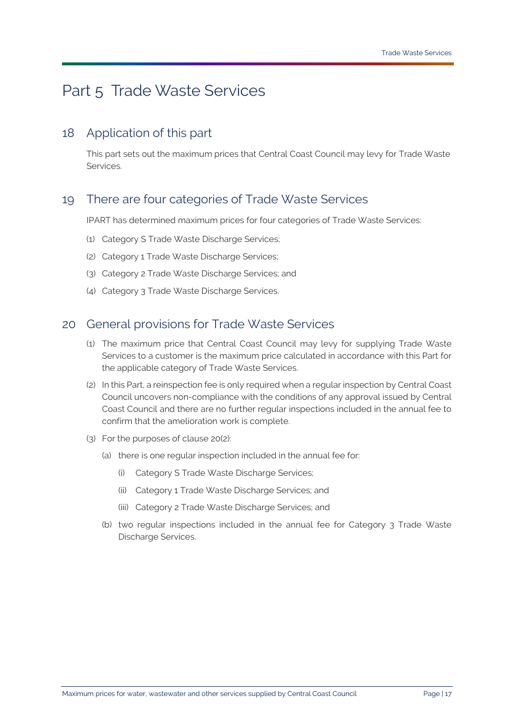# <span id="page-16-0"></span>Part 5 [Trade Waste Services](#page-34-2)

## <span id="page-16-1"></span>18 Application of this part

This part sets out the maximum prices that [Central Coast Council](#page-31-0) may levy for [Trade Waste](#page-34-2)  [Services.](#page-34-2)

## <span id="page-16-2"></span>19 There are four categories of [Trade Waste Services](#page-34-2)

[IPART](#page-31-1) has determined maximum prices for four categories of [Trade Waste Services:](#page-34-2)

- (1) [Category S Trade Waste Discharge Services;](#page-31-8)
- (2) [Category 1 Trade Waste Discharge Services;](#page-30-2)
- (3) [Category 2 Trade Waste Discharge Services;](#page-30-3) and
- (4) [Category 3 Trade Waste Discharge Services.](#page-30-4)

## <span id="page-16-3"></span>20 General provisions for [Trade Waste Services](#page-34-2)

- (1) The maximum price that [Central Coast Council](#page-31-0) may levy for supplying [Trade Waste](#page-34-2)  [Services](#page-34-2) to a customer is the maximum price calculated in accordance with this Part for the applicable category of [Trade Waste Services.](#page-34-2)
- <span id="page-16-4"></span>(2) In this Part, a reinspection fee is only required when a regular inspection by [Central Coast](#page-31-0)  [Council](#page-31-0) uncovers non-compliance with the conditions of any approval issued by [Central](#page-31-0)  [Coast Council](#page-31-0) and there are no further regular inspections included in the annual fee to confirm that the amelioration work is complete.
- (3) For the purposes of clause [20\(2\):](#page-16-4)
	- (a) there is one regular inspection included in the annual fee for:
		- (i) [Category S Trade Waste Discharge Services;](#page-31-8)
		- (ii) [Category 1 Trade Waste Discharge Services;](#page-30-2) and
		- (iii) [Category 2 Trade Waste Discharge Services;](#page-30-3) and
	- (b) two regular inspections included in the annual fee for [Category 3 Trade Waste](#page-30-4)  [Discharge Services.](#page-30-4)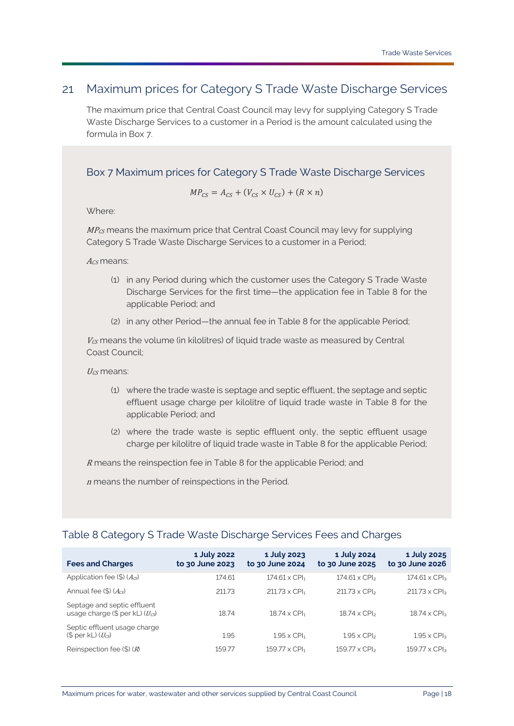## <span id="page-17-0"></span>21 Maximum prices for [Category S Trade Waste Discharge Services](#page-31-8)

The maximum price that [Central Coast Council](#page-31-0) may levy for supplying [Category S Trade](#page-31-8)  [Waste Discharge Services](#page-31-8) to a customer in a [Period](#page-33-4) is the amount calculated using the formula in [Box 7.](#page-17-1)

<span id="page-17-1"></span>Box 7 Maximum prices for [Category S Trade Waste Discharge Services](#page-31-8)

$$
MP_{CS} = A_{CS} + (V_{CS} \times U_{CS}) + (R \times n)
$$

Where:

MP<sub>CS</sub> means the maximum price that [Central Coast Council](#page-31-0) may levy for supplying Category [S Trade Waste Discharge Services](#page-31-8) to a customer in a [Period;](#page-33-4)

 $A_{\mathcal{C}}$ s means:

- (1) in any [Period](#page-33-4) during which the customer uses the [Category S Trade Waste](#page-31-8)  [Discharge Services](#page-31-8) for the first time—the application fee in [Table 8](#page-17-2) for the applicable [Period;](#page-33-4) and
- (2) in any other [Period—](#page-33-4)the annual fee in [Table 8](#page-17-2) for the applicable [Period;](#page-33-4)

 $V_{CS}$  means the volume (in kilolitres) of liquid trade waste as measured by Central [Coast Council;](#page-31-0)

 $U_{CS}$  means:

- (1) where the trade waste is septage and septic effluent, the septage and septic effluent usage charge per kilolitre of liquid trade waste in [Table 8](#page-17-2) for the applicable [Period;](#page-33-4) and
- (2) where the trade waste is septic effluent only, the septic effluent usage charge per kilolitre of liquid trade waste in [Table 8](#page-17-2) for the applicable [Period;](#page-33-4)

<sup>R</sup> means the reinspection fee in [Table 8](#page-17-2) for the applicable [Period;](#page-33-4) and

<sup>n</sup> means the number of reinspections in the [Period.](#page-33-4)

## <span id="page-17-2"></span>Table 8 [Category S Trade Waste Discharge Services](#page-31-8) Fees and Charges

| <b>Fees and Charges</b>                                              | 1 July 2022<br>to 30 June 2023 | 1 July 2023<br>to 30 June 2024   | 1 July 2024<br>to 30 June 2025 | 1 July 2025<br>to 30 June 2026  |
|----------------------------------------------------------------------|--------------------------------|----------------------------------|--------------------------------|---------------------------------|
| Application fee $(\$)$ $(A_{CS})$                                    | 174.61                         | $174.61 \times$ CPI <sub>1</sub> | $174.61 \times CP$             | $174.61 \times CPI_{3}$         |
| Annual fee $(\$)$ ( $A_{CS}$ )                                       | 211.73                         | $211.73 \times$ CPI <sub>1</sub> | $211.73 \times CP$             | $211.73 \times CPI3$            |
| Septage and septic effluent<br>usage charge $(\$$ per kL) $(U_{CS})$ | 18.74                          | $18.74 \times$ CPI <sub>1</sub>  | $18.74 \times CP$              | $18.74 \times CP$               |
| Septic effluent usage charge<br>$(S$ per kL $(U_{CS})$               | 1.95                           | $1.95 \times$ CPI <sub>1</sub>   | $1.95 \times$ CPI <sub>2</sub> | $1.95 \times CP$ l <sub>3</sub> |
| Reinspection fee $(\$)$ $(R)$                                        | 159.77                         | $159.77 \times$ CPI <sub>1</sub> | $159.77 \times CP$             | $159.77 \times CPI3$            |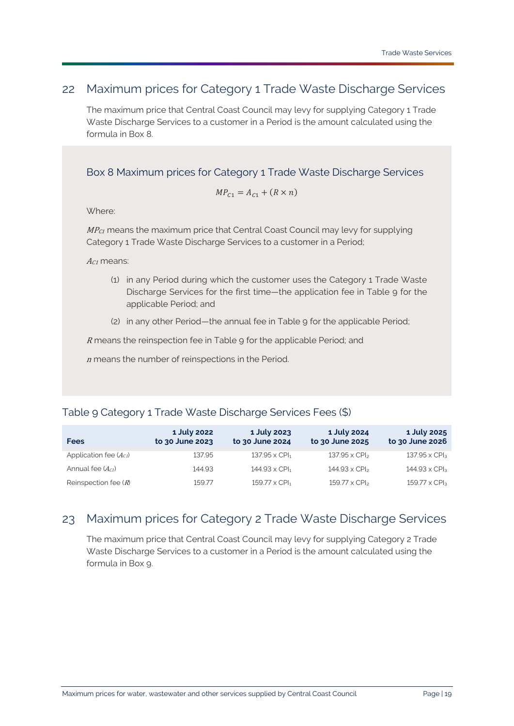## <span id="page-18-0"></span>22 Maximum prices for [Category 1 Trade Waste Discharge Services](#page-30-2)

The maximum price that [Central Coast Council](#page-31-0) may levy for supplying [Category 1 Trade](#page-30-2)  [Waste Discharge Services](#page-30-2) to a customer in a [Period](#page-33-4) is the amount calculated using the formula in [Box 8.](#page-18-2)

<span id="page-18-2"></span>Box 8 Maximum prices for [Category 1 Trade Waste Discharge Services](#page-30-2)

$$
MP_{C1} = A_{C1} + (R \times n)
$$

Where:

 $MP<sub>C1</sub>$  means the maximum price that [Central Coast Council](#page-31-0) may levy for supplying [Category 1 Trade Waste Discharge Services](#page-30-2) to a customer in a [Period;](#page-33-4)

 $Ac<sub>1</sub>$  means:

- (1) in any [Period](#page-33-4) during which the customer uses the [Category 1 Trade Waste](#page-30-2)  [Discharge Services](#page-30-2) for the first time—the application fee in [Table 9](#page-18-3) for the applicable [Period;](#page-33-4) and
- (2) in any other [Period—](#page-33-4)the annual fee in [Table](#page-18-3) 9 for the applicable [Period;](#page-33-4)

<sup>R</sup> means the reinspection fee in [Table 9](#page-18-3) for the applicable [Period;](#page-33-4) and

<sup>n</sup> means the number of reinspections in the [Period.](#page-33-4)

## <span id="page-18-3"></span>Table 9 [Category 1 Trade Waste Discharge Services](#page-30-2) Fees (\$)

| <b>Fees</b>                | 1 July 2022<br>to 30 June 2023 | 1 July 2023<br>to 30 June 2024   | 1 July 2024<br>to 30 June 2025 | 1 July 2025<br>to 30 June 2026 |
|----------------------------|--------------------------------|----------------------------------|--------------------------------|--------------------------------|
| Application fee $(A_{c1})$ | 137.95                         | $137.95 \times$ CPI <sub>1</sub> | $137.95 \times CPI_{2}$        | 137.95 x CPI <sub>3</sub>      |
| Annual fee $(A_{C1})$      | 144.93                         | $144.93 \times$ CPI <sub>1</sub> | $144.93 \times CP$             | $144.93 \times CPI3$           |
| Reinspection fee $(R)$     | 159.77                         | $159.77 \times$ CPI <sub>1</sub> | $159.77 \times CP$             | $159.77 \times CPI_3$          |

# <span id="page-18-1"></span>23 Maximum prices for [Category 2 Trade Waste Discharge Services](#page-30-3)

The maximum price that [Central Coast Council](#page-31-0) may levy for supplying [Category 2 Trade](#page-30-3)  [Waste Discharge Services](#page-30-3) to a customer in a [Period](#page-33-4) is the amount calculated using the formula in [Box 9.](#page-19-0)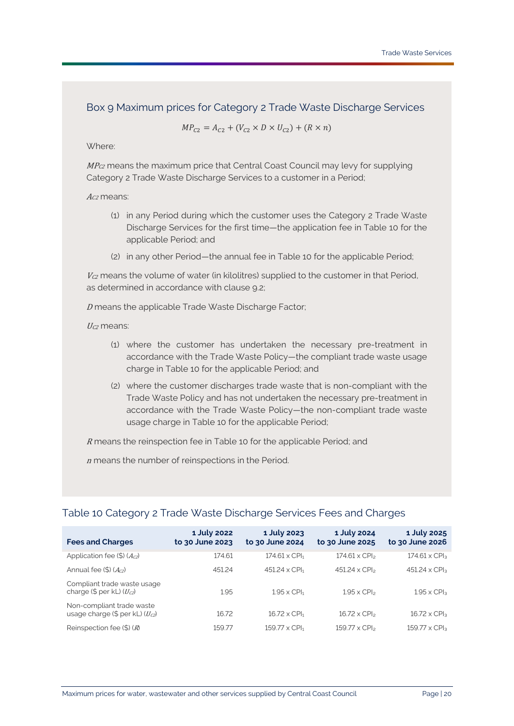### <span id="page-19-0"></span>Box 9 Maximum prices for [Category 2 Trade Waste Discharge Services](#page-30-3)

$$
MP_{c2} = A_{c2} + (V_{c2} \times D \times U_{c2}) + (R \times n)
$$

Where:

 $MP_{C2}$  means the maximum price that [Central Coast Council](#page-31-0) may levy for supplying [Category 2 Trade Waste Discharge Services](#page-30-3) to a customer in a [Period;](#page-33-4)

### Ac<sub>2</sub> means:

- (1) in any [Period](#page-33-4) during which the customer uses the [Category 2 Trade Waste](#page-30-3)  [Discharge Services](#page-30-3) for the first time—the application fee in [Table 10](#page-19-1) for the applicable [Period;](#page-33-4) and
- (2) in any other [Period—](#page-33-4)the annual fee in [Table 10](#page-19-1) for the applicable [Period;](#page-33-4)

 $V_{C2}$  means the volume of water (in kilolitres) supplied to the customer in that Period, as determined in accordance with clause [9.2;](#page-8-3)

<sup>D</sup> means the applicable [Trade Waste Discharge Factor;](#page-34-9)

 $U_{C2}$  means:

- (1) where the customer has undertaken the necessary pre-treatment in accordance with the [Trade Waste Policy—](#page-34-10)the compliant trade waste usage charge in [Table 10](#page-19-1) for the applicable [Period;](#page-33-4) and
- (2) where the customer discharges trade waste that is non-compliant with the Trade Waste Policy and has not undertaken the necessary pre-treatment in accordance with the [Trade Waste Policy—](#page-34-10)the non-compliant trade waste usage charge in [Table 10](#page-19-1) for the applicable [Period;](#page-33-4)

<sup>R</sup> means the reinspection fee in [Table 10](#page-19-1) for the applicable [Period;](#page-33-4) and

<sup>n</sup> means the number of reinspections in the [Period.](#page-33-4)

### <span id="page-19-1"></span>Table 10 [Category 2 Trade Waste Discharge Services](#page-30-3) Fees and Charges

| <b>Fees and Charges</b>                                            | 1 July 2022<br>to 30 June 2023 | 1 July 2023<br>to 30 June 2024   | 1 July 2024<br>to 30 June 2025 | 1 July 2025<br>to 30 June 2026 |
|--------------------------------------------------------------------|--------------------------------|----------------------------------|--------------------------------|--------------------------------|
| Application fee $(\$)$ (Ac <sub>2</sub> )                          | 174.61                         | $174.61 \times$ CPI <sub>1</sub> | $174.61 \times CP$             | $174.61 \times CPI_3$          |
| Annual fee $(\$)$ $(A_{c2})$                                       | 451.24                         | $451.24 \times$ CPI <sub>1</sub> | $451.24 \times CP$             | $451.24 \times CPI3$           |
| Compliant trade waste usage<br>charge $(\$$ per kL) $(U_{c2})$     | 1.95                           | $1.95 \times$ CPI <sub>1</sub>   | $1.95 \times CP$               | $1.95 \times CP$               |
| Non-compliant trade waste<br>usage charge $(\$$ per kL) $(U_{C2})$ | 16.72                          | $16.72 \times$ CPI <sub>1</sub>  | $16.72 \times CP$              | $16.72 \times CPI3$            |
| Reinspection fee $(\$)$ $(R)$                                      | 159.77                         | $159.77 \times$ CPI <sub>1</sub> | 159.77 x CPI <sub>2</sub>      | $159.77 \times CPI3$           |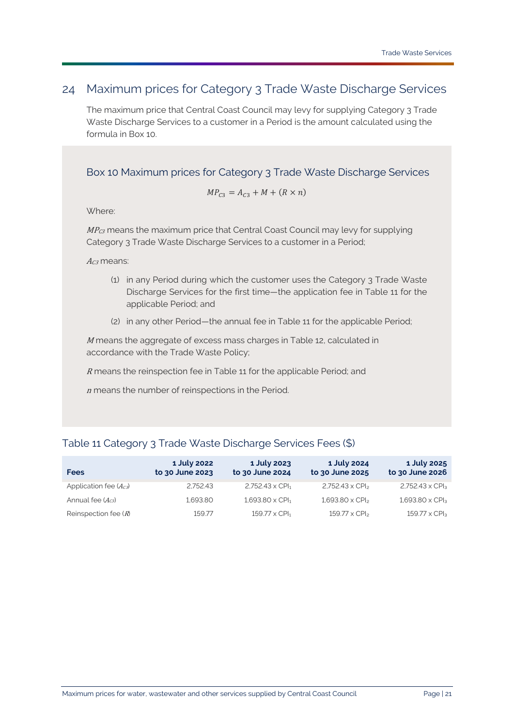## <span id="page-20-0"></span>24 Maximum prices for [Category 3 Trade Waste Discharge Services](#page-30-4)

The maximum price that [Central Coast Council](#page-31-0) may levy for supplying [Category 3 Trade](#page-30-4)  [Waste Discharge Services](#page-30-4) to a customer in a [Period](#page-33-4) is the amount calculated using the formula in [Box 10.](#page-20-1)

<span id="page-20-1"></span>Box 10 Maximum prices for [Category 3 Trade Waste Discharge Services](#page-30-4)

$$
MP_{C3} = A_{C3} + M + (R \times n)
$$

Where:

 $MP_{C3}$  means the maximum price that [Central Coast Council](#page-31-0) may levy for supplying [Category 3 Trade Waste Discharge Services](#page-30-4) to a customer in a [Period;](#page-33-4)

 $A_{C3}$  means:

- (1) in any [Period](#page-33-4) during which the customer uses the [Category 3 Trade Waste](#page-30-4)  [Discharge Services](#page-30-4) for the first time—the application fee in [Table 11](#page-20-2) for the applicable [Period;](#page-33-4) and
- (2) in any other [Period—](#page-33-4)the annual fee in [Table 11](#page-20-2) for the applicabl[e Period;](#page-33-4)

<sup>M</sup> means the aggregate of excess mass charges i[n Table 12,](#page-21-0) calculated in accordance with the [Trade Waste Policy;](#page-34-10)

<sup>R</sup> means the reinspection fee in [Table 11](#page-20-2) for the applicable [Period;](#page-33-4) and

<sup>n</sup> means the number of reinspections in the [Period.](#page-33-4)

## <span id="page-20-2"></span>Table 11 [Category 3 Trade Waste Discharge Services](#page-30-4) Fees (\$)

| <b>Fees</b>                | 1 July 2022<br>to 30 June 2023 | 1 July 2023<br>to 30 June 2024   | 1 July 2024<br>to 30 June 2025 | 1 July 2025<br>to 30 June 2026    |
|----------------------------|--------------------------------|----------------------------------|--------------------------------|-----------------------------------|
| Application fee $(A_{C3})$ | 2.752.43                       | $2,752.43 \times CPI1$           | $2,752.43 \times CPI2$         | $2,752.43 \times CPI3$            |
| Annual fee $(A_{C3})$      | 1.693.80                       | $1,693.80 \times \text{CPI}_1$   | $1.693.80 \times CP$           | $1,693.80 \times CP$ <sub>3</sub> |
| Reinspection fee $(R)$     | 159.77                         | $159.77 \times$ CPI <sub>1</sub> | $159.77 \times CP$             | $159.77 \times CPI_3$             |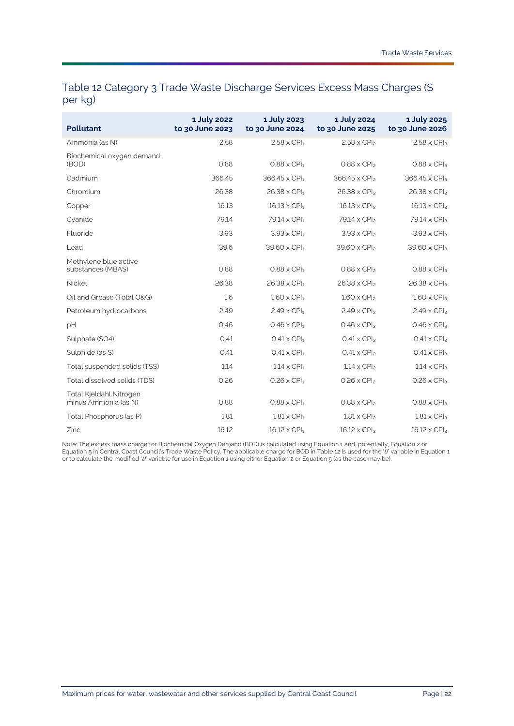## <span id="page-21-0"></span>Table 12 [Category 3 Trade Waste Discharge Services](#page-30-4) Excess Mass Charges (\$ per kg)

| <b>Pollutant</b>                                | 1 July 2022<br>to 30 June 2023 | 1 July 2023<br>to 30 June 2024  | 1 July 2024<br>to 30 June 2025 | 1 July 2025<br>to 30 June 2026 |
|-------------------------------------------------|--------------------------------|---------------------------------|--------------------------------|--------------------------------|
| Ammonia (as N)                                  | 2.58                           | $2.58 \times$ CPI <sub>1</sub>  | $2.58 \times CPI2$             | $2.58 \times CPI3$             |
| Biochemical oxygen demand<br>(BOD)              | 0.88                           | $0.88 \times$ CPI <sub>1</sub>  | $0.88 \times CP$               | $0.88 \times CPI3$             |
| Cadmium                                         | 366.45                         | 366.45 x CPI <sub>1</sub>       | 366.45 x CPI <sub>2</sub>      | 366.45 x CPI <sub>3</sub>      |
| Chromium                                        | 26.38                          | $26.38 \times$ CPI <sub>1</sub> | $26.38 \times CPI2$            | $26.38 \times CPI3$            |
| Copper                                          | 16.13                          | $16.13 \times$ CPI <sub>1</sub> | $16.13 \times CPI2$            | $16.13 \times CPI3$            |
| Cyanide                                         | 79.14                          | 79.14 x CPI <sub>1</sub>        | 79.14 x CPI <sub>2</sub>       | 79.14 x CPI <sub>3</sub>       |
| Fluoride                                        | 3.93                           | $3.93 \times$ CPI <sub>1</sub>  | $3.93 \times CP$               | $3.93 \times CPI3$             |
| Lead                                            | 39.6                           | 39.60 x CPI <sub>1</sub>        | 39.60 x CPI <sub>2</sub>       | 39.60 x CPI <sub>3</sub>       |
| Methylene blue active<br>substances (MBAS)      | 0.88                           | $0.88 \times$ CPI <sub>1</sub>  | $0.88 \times CP$               | $0.88 \times CPI3$             |
| Nickel                                          | 26.38                          | $26.38 \times$ CPI <sub>1</sub> | $26.38 \times CPI2$            | $26.38 \times CPI3$            |
| Oil and Grease (Total O&G)                      | 1.6                            | $1.60 \times$ CPI <sub>1</sub>  | $1.60 \times CPI2$             | $1.60 \times$ CPI <sub>3</sub> |
| Petroleum hydrocarbons                          | 2.49                           | $2.49 \times$ CPI <sub>1</sub>  | $2.49 \times CPI2$             | $2.49 \times CP$ <sub>3</sub>  |
| pH                                              | 0.46                           | $0.46 \times$ CPI <sub>1</sub>  | $0.46 \times CPI2$             | $0.46 \times CP$ <sub>3</sub>  |
| Sulphate (SO4)                                  | 0.41                           | $0.41 \times$ CPI <sub>1</sub>  | $0.41 \times CPI2$             | $0.41 \times CPI3$             |
| Sulphide (as S)                                 | O.41                           | $0.41 \times$ CPI <sub>1</sub>  | $0.41 \times CPI2$             | $0.41 \times CPI3$             |
| Total suspended solids (TSS)                    | 1.14                           | $1.14 \times$ CPI <sub>1</sub>  | $1.14 \times CP$               | $1.14 \times CP$ <sub>3</sub>  |
| Total dissolved solids (TDS)                    | 0.26                           | $0.26 \times$ CPI <sub>1</sub>  | $0.26 \times CPI2$             | $0.26 \times CPI3$             |
| Total Kjeldahl Nitrogen<br>minus Ammonia (as N) | 0.88                           | $0.88 \times$ CPI <sub>1</sub>  | $0.88 \times CPI2$             | $0.88 \times CPI3$             |
| Total Phosphorus (as P)                         | 1.81                           | $1.81 \times$ CPI <sub>1</sub>  | $1.81 \times CPI2$             | $1.81 \times CPI3$             |
| Zinc                                            | 16.12                          | $16.12 \times$ CPI <sub>1</sub> | $16.12 \times CPI2$            | $16.12 \times CPI3$            |

Note: The excess mass charge for Biochemical Oxygen Demand (BOD) is calculated using Equation 1 and, potentially, Equation 2 or Equation 5 i[n Central Coast Council's](#page-31-0) [Trade Waste Policy.](#page-34-10) The applicable charge for BOD i[n Table 12](#page-21-0) is used for the 'U' variable in Equation 1 or to calculate the modified 'U variable for use in Equation 1 using either Equation 2 or Equation 5 (as the case may be).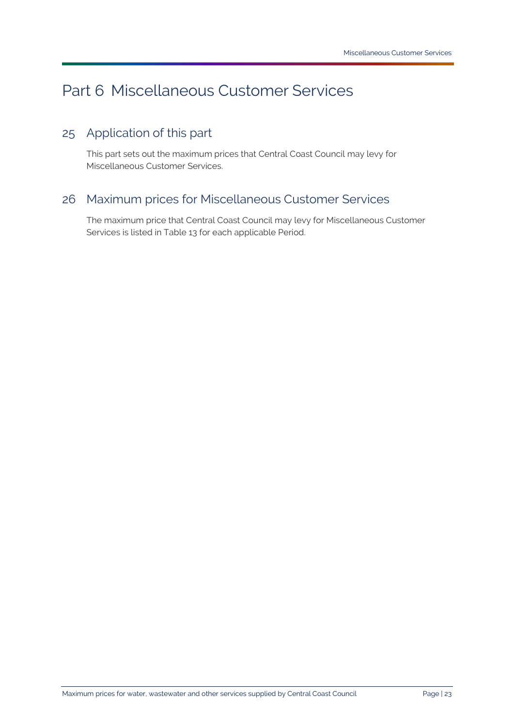# <span id="page-22-0"></span>Part 6 [Miscellaneous Customer Services](#page-32-0)

# <span id="page-22-1"></span>25 Application of this part

This part sets out the maximum prices that [Central Coast Council](#page-31-0) may levy for [Miscellaneous Customer Services.](#page-32-0)

# <span id="page-22-2"></span>26 Maximum prices for [Miscellaneous Customer Services](#page-32-0)

The maximum price that [Central Coast Council](#page-31-0) may levy for [Miscellaneous Customer](#page-32-0)  [Services](#page-32-0) is listed in [Table 13](#page-23-0) for each applicable [Period.](#page-33-4)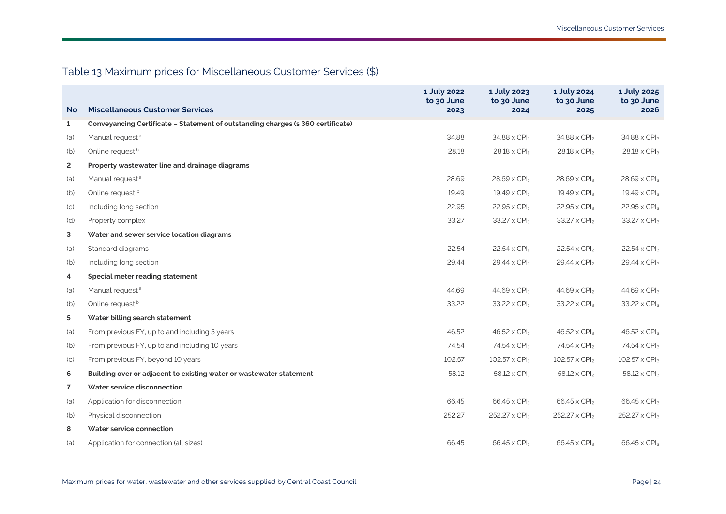# Table 13 Maximum prices for [Miscellaneous Customer Services](#page-32-11) (\$)

<span id="page-23-0"></span>

|                |                                                                                 | 1 July 2022<br>to 30 June | 1 July 2023<br>to 30 June        | 1 July 2024<br>to 30 June | 1 July 2025<br>to 30 June |
|----------------|---------------------------------------------------------------------------------|---------------------------|----------------------------------|---------------------------|---------------------------|
| <b>No</b>      | <b>Miscellaneous Customer Services</b>                                          | 2023                      | 2024                             | 2025                      | 2026                      |
| $\mathbf{1}$   | Conveyancing Certificate - Statement of outstanding charges (s 360 certificate) |                           |                                  |                           |                           |
| (a)            | Manual request <sup>a</sup>                                                     | 34.88                     | $34.88 \times$ CPI <sub>1</sub>  | 34.88 x CPI <sub>2</sub>  | 34.88 x CPI <sub>3</sub>  |
| (b)            | Online request <sup>b</sup>                                                     | 28.18                     | $28.18 \times CPI_1$             | $28.18 \times CPI2$       | 28.18 x CPI <sub>3</sub>  |
| $\overline{2}$ | Property wastewater line and drainage diagrams                                  |                           |                                  |                           |                           |
| (a)            | Manual request <sup>a</sup>                                                     | 28.69                     | $28.69 \times$ CPI <sub>1</sub>  | $28.69 \times CPI_2$      | $28.69 \times CPI3$       |
| (b)            | Online request b                                                                | 19.49                     | $19.49 \times$ CPI <sub>1</sub>  | $19.49 \times CPI_2$      | $19.49 \times CPI3$       |
| (C)            | Including long section                                                          | 22.95                     | $22.95 \times$ CPI <sub>1</sub>  | $22.95 \times CP$         | $22.95 \times CPI3$       |
| (d)            | Property complex                                                                | 33.27                     | $33.27 \times$ CPI <sub>1</sub>  | $33.27 \times CPI2$       | 33.27 x CPI <sub>3</sub>  |
| 3              | Water and sewer service location diagrams                                       |                           |                                  |                           |                           |
| (a)            | Standard diagrams                                                               | 22.54                     | $22.54 \times$ CPI <sub>1</sub>  | $22.54 \times CPI2$       | $22.54 \times CPI3$       |
| (b)            | Including long section                                                          | 29.44                     | $29.44 \times$ CPI <sub>1</sub>  | $29.44 \times CPI2$       | $29.44 \times CPI3$       |
| 4              | Special meter reading statement                                                 |                           |                                  |                           |                           |
| (a)            | Manual request <sup>a</sup>                                                     | 44.69                     | $44.69 \times CPI1$              | $44.69 \times CPI2$       | $44.69 \times CPI3$       |
| (b)            | Online request <sup>b</sup>                                                     | 33.22                     | $33.22 \times$ CPI <sub>1</sub>  | $33.22 \times CPI2$       | 33.22 x CPI <sub>3</sub>  |
| 5              | Water billing search statement                                                  |                           |                                  |                           |                           |
| (a)            | From previous FY, up to and including 5 years                                   | 46.52                     | $46.52 \times$ CPI <sub>1</sub>  | $46.52 \times CPI2$       | $46.52 \times CPI3$       |
| (b)            | From previous FY, up to and including 10 years                                  | 74.54                     | $74.54 \times CPI_1$             | 74.54 x CPI <sub>2</sub>  | $74.54 \times CPI3$       |
| (C)            | From previous FY, beyond 10 years                                               | 102.57                    | $102.57 \times$ CPI <sub>1</sub> | $102.57 \times CPI_2$     | $102.57 \times CPI3$      |
| 6              | Building over or adjacent to existing water or wastewater statement             | 58.12                     | $58.12 \times$ CPI <sub>1</sub>  | $58.12 \times CPI2$       | $58.12 \times CPI3$       |
| $\overline{7}$ | Water service disconnection                                                     |                           |                                  |                           |                           |
| (a)            | Application for disconnection                                                   | 66.45                     | $66.45 \times$ CPI <sub>1</sub>  | $66.45 \times CPI_2$      | $66.45 \times CPI3$       |
| (b)            | Physical disconnection                                                          | 252.27                    | 252.27 x CPI <sub>1</sub>        | 252.27 x CPI <sub>2</sub> | 252.27 x CPI <sub>3</sub> |
| 8              | Water service connection                                                        |                           |                                  |                           |                           |
| (a)            | Application for connection (all sizes)                                          | 66.45                     | $66.45 \times$ CPI <sub>1</sub>  | $66.45 \times CP$         | $66.45 \times CP$         |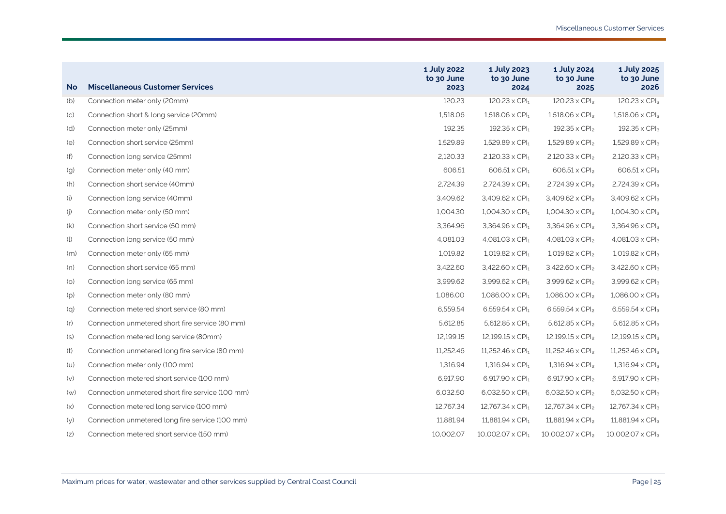| <b>No</b>         | <b>Miscellaneous Customer Services</b>           | 1 July 2022<br>to 30 June<br>2023 | 1 July 2023<br>to 30 June<br>2024  | 1 July 2024<br>to 30 June<br>2025 | 1 July 2025<br>to 30 June<br>2026  |
|-------------------|--------------------------------------------------|-----------------------------------|------------------------------------|-----------------------------------|------------------------------------|
| (b)               | Connection meter only (20mm)                     | 120.23                            | $120.23 \times$ CPI <sub>1</sub>   | $120.23 \times CPI2$              | 120.23 x CPI <sub>3</sub>          |
| (C)               | Connection short & long service (20mm)           | 1,518.06                          | $1,518.06 \times$ CPI <sub>1</sub> | $1,518.06 \times CPI_2$           | 1,518.06 x CPI <sub>3</sub>        |
| (d)               | Connection meter only (25mm)                     | 192.35                            | $192.35 \times$ CPI <sub>1</sub>   | $192.35 \times CPI2$              | 192.35 x CPI <sub>3</sub>          |
| (e)               | Connection short service (25mm)                  | 1,529.89                          | $1,529.89 \times CPI1$             | $1,529.89 \times CPI_2$           | $1,529.89 \times CPI_3$            |
| (f)               | Connection long service (25mm)                   | 2,120.33                          | $2,120.33 \times$ CPI <sub>1</sub> | $2,120.33 \times CPI2$            | $2,120.33 \times CPI3$             |
| (g)               | Connection meter only (40 mm)                    | 606.51                            | 606.51 x CPI <sub>1</sub>          | $606.51 \times CPI_2$             | 606.51 x CPI <sub>3</sub>          |
| (h)               | Connection short service (40mm)                  | 2.724.39                          | $2,724.39 \times CPI1$             | $2,724.39 \times CPI2$            | 2,724.39 x CPI <sub>3</sub>        |
| (i)               | Connection long service (40mm)                   | 3,409.62                          | $3,409.62 \times \text{CPI}_1$     | $3,409.62 \times CPI2$            | 3,409.62 x CPI <sub>3</sub>        |
| $\left( j\right)$ | Connection meter only (50 mm)                    | 1,004.30                          | $1,004.30 \times CPI_1$            | $1,004.30 \times CPI_2$           | $1,004.30 \times CPI3$             |
| (k)               | Connection short service (50 mm)                 | 3,364.96                          | $3,364.96 \times \text{CPI}_1$     | 3,364.96 x CPI <sub>2</sub>       | 3,364.96 x CPI <sub>3</sub>        |
| (l)               | Connection long service (50 mm)                  | 4,081.03                          | $4,081.03 \times$ CPI <sub>1</sub> | $4,081.03 \times CPI2$            | 4,081.03 x CPI <sub>3</sub>        |
| (m)               | Connection meter only (65 mm)                    | 1,019.82                          | $1,019.82 \times \text{CPI}_1$     | $1,019.82 \times CPI2$            | $1,019.82 \times CPI3$             |
| (n)               | Connection short service (65 mm)                 | 3,422.60                          | $3,422.60 \times CPI1$             | $3,422.60 \times CPl2$            | $3,422.60 \times CPI3$             |
| (0)               | Connection long service (65 mm)                  | 3,999.62                          | 3,999.62 x CPI <sub>1</sub>        | $3,999.62 \times CPI2$            | 3,999.62 x CPI <sub>3</sub>        |
| (p)               | Connection meter only (80 mm)                    | 1.086.00                          | $1,086.00 \times \text{CPI}_1$     | $1,086.00 \times CPI_2$           | $1,086.00 \times CPI_3$            |
| (q)               | Connection metered short service (80 mm)         | 6,559.54                          | $6,559.54 \times CPI1$             | 6,559.54 x CPI <sub>2</sub>       | $6,559.54 \times CPI3$             |
| (r)               | Connection unmetered short fire service (80 mm)  | 5,612.85                          | $5,612.85 \times CPI1$             | 5,612.85 x CPI <sub>2</sub>       | $5,612.85 \times CPI3$             |
| (s)               | Connection metered long service (80mm)           | 12,199.15                         | $12,199.15 \times \text{CPI}_1$    | $12,199.15 \times CPI_2$          | 12,199.15 x CPI <sub>3</sub>       |
| (t)               | Connection unmetered long fire service (80 mm)   | 11,252.46                         | $11,252.46 \times CPI1$            | $11,252.46 \times CPI2$           | 11,252.46 x CPI <sub>3</sub>       |
| (u)               | Connection meter only (100 mm)                   | 1.316.94                          | $1,316.94 \times CPI1$             | $1,316.94 \times CPI2$            | $1,316.94 \times CPI3$             |
| (v)               | Connection metered short service (100 mm)        | 6.917.90                          | 6,917.90 $\times$ CPI <sub>1</sub> | 6,917.90 x CPI <sub>2</sub>       | 6,917.90 x CPI <sub>3</sub>        |
| (w)               | Connection unmetered short fire service (100 mm) | 6,032.50                          | $6,032.50 \times CPI1$             | $6,032.50 \times CPI2$            | 6,032.50 x CPI <sub>3</sub>        |
| (x)               | Connection metered long service (100 mm)         | 12,767.34                         | $12,767.34 \times CPI1$            | 12,767.34 x CPI <sub>2</sub>      | 12,767.34 x CPI <sub>3</sub>       |
| (y)               | Connection unmetered long fire service (100 mm)  | 11.881.94                         | $11,881.94 \times CPI1$            | $11,881.94 \times CPI2$           | $11,881.94 \times CP$ <sub>3</sub> |
| (z)               | Connection metered short service (150 mm)        | 10,002.07                         | $10,002.07 \times \text{CPI}_1$    | $10,002.07 \times CPI_2$          | 10,002.07 x CPI <sub>3</sub>       |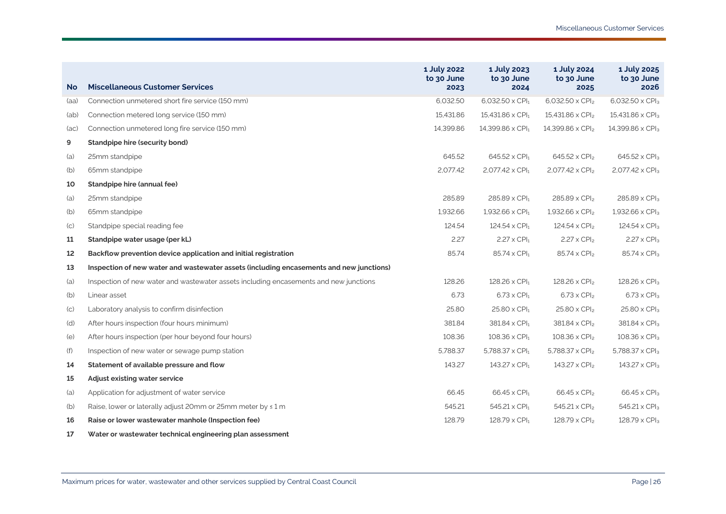| <b>No</b> | <b>Miscellaneous Customer Services</b>                                                  | 1 July 2022<br>to 30 June<br>2023 | 1 July 2023<br>to 30 June<br>2024   | 1 July 2024<br>to 30 June<br>2025 | 1 July 2025<br>to 30 June<br>2026 |
|-----------|-----------------------------------------------------------------------------------------|-----------------------------------|-------------------------------------|-----------------------------------|-----------------------------------|
| (aa)      | Connection unmetered short fire service (150 mm)                                        | 6.032.50                          | $6.032.50 \times CPI1$              | 6,032.50 x CPI <sub>2</sub>       | 6.032.50 x CPI3                   |
| (ab)      | Connection metered long service (150 mm)                                                | 15.431.86                         | $15,431.86 \times$ CPI <sub>1</sub> | $15,431.86 \times CPI_2$          | 15,431.86 x CPI <sub>3</sub>      |
| (ac)      | Connection unmetered long fire service (150 mm)                                         | 14,399.86                         | 14,399.86 x CPI <sub>1</sub>        | 14,399.86 x CPI <sub>2</sub>      | 14,399.86 x CPI <sub>3</sub>      |
| 9         | Standpipe hire (security bond)                                                          |                                   |                                     |                                   |                                   |
| (a)       | 25mm standpipe                                                                          | 645.52                            | 645.52 x CPI <sub>1</sub>           | 645.52 x CPI <sub>2</sub>         | 645.52 x CPI <sub>3</sub>         |
| (b)       | 65mm standpipe                                                                          | 2,077.42                          | $2,077.42 \times \text{CPI}_1$      | 2,077.42 x CPI <sub>2</sub>       | 2,077.42 x CPI <sub>3</sub>       |
| 10        | Standpipe hire (annual fee)                                                             |                                   |                                     |                                   |                                   |
| (a)       | 25mm standpipe                                                                          | 285.89                            | $285.89 \times CPI1$                | 285.89 x CPI <sub>2</sub>         | 285.89 x CPI <sub>3</sub>         |
| (b)       | 65mm standpipe                                                                          | 1,932.66                          | $1,932.66 \times \text{CPI}_1$      | $1,932.66 \times CPI2$            | $1,932.66 \times \text{CPI}_3$    |
| (C)       | Standpipe special reading fee                                                           | 124.54                            | $124.54 \times CPI_1$               | $124.54 \times CPI2$              | $124.54 \times CPI_3$             |
| 11        | Standpipe water usage (per kL)                                                          | 2.27                              | $2.27 \times$ CPI <sub>1</sub>      | $2.27 \times CPI2$                | $2.27 \times CPI3$                |
| 12        | Backflow prevention device application and initial registration                         | 85.74                             | $85.74 \times$ CPI <sub>1</sub>     | $85.74 \times CPI_2$              | 85.74 x CPI3                      |
| 13        | Inspection of new water and wastewater assets (including encasements and new junctions) |                                   |                                     |                                   |                                   |
| (a)       | Inspection of new water and wastewater assets including encasements and new junctions   | 128.26                            | $128.26 \times$ CPI <sub>1</sub>    | $128.26 \times CPI_2$             | 128.26 x CPI <sub>3</sub>         |
| (b)       | Linear asset                                                                            | 6.73                              | $6.73 \times$ CPI <sub>1</sub>      | $6.73 \times CP$                  | $6.73 \times CP$                  |
| (C)       | Laboratory analysis to confirm disinfection                                             | 25.80                             | $25.80 \times$ CPI <sub>1</sub>     | $25.80 \times CPI2$               | $25.80 \times CPI3$               |
| (d)       | After hours inspection (four hours minimum)                                             | 381.84                            | $381.84 \times CPI1$                | 381.84 x CPI <sub>2</sub>         | 381.84 x CPI <sub>3</sub>         |
| (e)       | After hours inspection (per hour beyond four hours)                                     | 108.36                            | $108.36 \times$ CPI <sub>1</sub>    | $108.36 \times CPI_2$             | $108.36 \times CPI_3$             |
| (f)       | Inspection of new water or sewage pump station                                          | 5,788.37                          | 5,788.37 $\times$ CPI <sub>1</sub>  | 5,788.37 x CPI <sub>2</sub>       | 5,788.37 x CPI <sub>3</sub>       |
| 14        | Statement of available pressure and flow                                                | 143.27                            | $143.27 \times$ CPI <sub>1</sub>    | $143.27 \times CPI2$              | $143.27 \times CPI_3$             |
| 15        | Adjust existing water service                                                           |                                   |                                     |                                   |                                   |
| (a)       | Application for adjustment of water service                                             | 66.45                             | $66.45 \times$ CPI <sub>1</sub>     | $66.45 \times CPI2$               | 66.45 x CPI <sub>3</sub>          |
| (b)       | Raise, lower or laterally adjust 20mm or 25mm meter by < 1 m                            | 545.21                            | 545.21 x CPI1                       | 545.21 x CPI <sub>2</sub>         | 545.21 x CPI <sub>3</sub>         |
| 16        | Raise or lower wastewater manhole (Inspection fee)                                      | 128.79                            | $128.79 \times CPI_1$               | $128.79 \times CPI_2$             | 128.79 x CPI <sub>3</sub>         |
| 17        | Water or wastewater technical engineering plan assessment                               |                                   |                                     |                                   |                                   |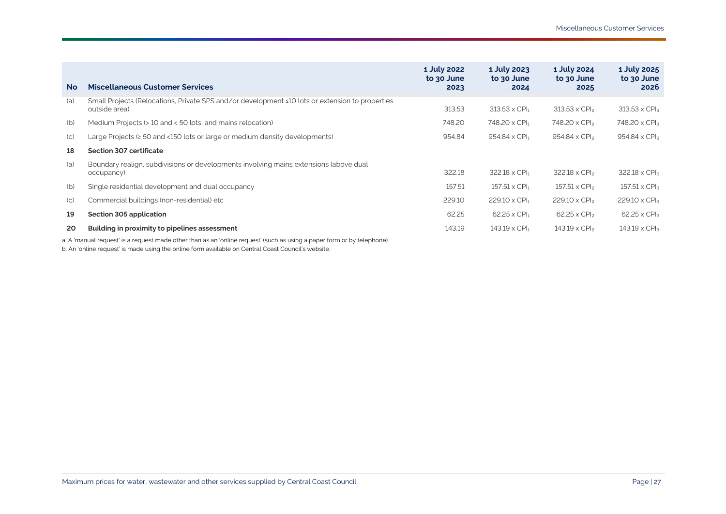| <b>No</b>         | <b>Miscellaneous Customer Services</b>                                                                           | 1 July 2022<br>to 30 June<br>2023 | 1 July 2023<br>to 30 June<br>2024 | 1 July 2024<br>to 30 June<br>2025 | 1 July 2025<br>to 30 June<br>2026 |
|-------------------|------------------------------------------------------------------------------------------------------------------|-----------------------------------|-----------------------------------|-----------------------------------|-----------------------------------|
| (a)               | Small Projects (Relocations, Private SPS and/or development ≤10 lots or extension to properties<br>outside area) | 313.53                            | $313.53 \times$ CPI <sub>1</sub>  | $313.53 \times$ CPI <sub>2</sub>  | $313.53 \times$ CPI <sub>3</sub>  |
| (b)               | Medium Projects (> 10 and < 50 lots, and mains relocation)                                                       | 748.20                            | 748.20 x CPI <sub>1</sub>         | 748.20 x CPI <sub>2</sub>         | 748.20 x CPI <sub>3</sub>         |
| (C)               | Large Projects ( $\geq 50$ and <150 lots or large or medium density developments)                                | 954.84                            | $954.84 \times$ CPI <sub>1</sub>  | 954.84 x CPI <sub>2</sub>         | $954.84 \times CPI3$              |
| 18                | Section 307 certificate                                                                                          |                                   |                                   |                                   |                                   |
| (a)               | Boundary realign, subdivisions or developments involving mains extensions (above dual<br>occupancy)              | 322.18                            | 322.18 x CPI <sub>1</sub>         | $322.18 \times CP$                | $322.18 \times CPI3$              |
| (b)               | Single residential development and dual occupancy                                                                | 157.51                            | $157.51 \times$ CPI <sub>1</sub>  | $157.51 \times CP$                | $157.51 \times CPI_3$             |
| $\left( c\right)$ | Commercial buildings (non-residential) etc                                                                       | 229.10                            | $229.10 \times$ CPI <sub>1</sub>  | $229.10 \times CP$ <sub>2</sub>   | $229.10 \times CPI3$              |
| 19                | Section 305 application                                                                                          | 62.25                             | $62.25 \times$ CPI <sub>1</sub>   | $62.25 \times CP$                 | $62.25 \times CPI_3$              |
| 20                | Building in proximity to pipelines assessment                                                                    | 143.19                            | $143.19 \times$ CPI <sub>1</sub>  | $143.19 \times CPI2$              | $143.19 \times CPI_3$             |
|                   |                                                                                                                  |                                   |                                   |                                   |                                   |

a. A 'manual request' is a request made other than as an 'online request' (such as using a paper form or by telephone).

b. An 'online request' is made using the online form available o[n Central Coast Council's](#page-31-9) website.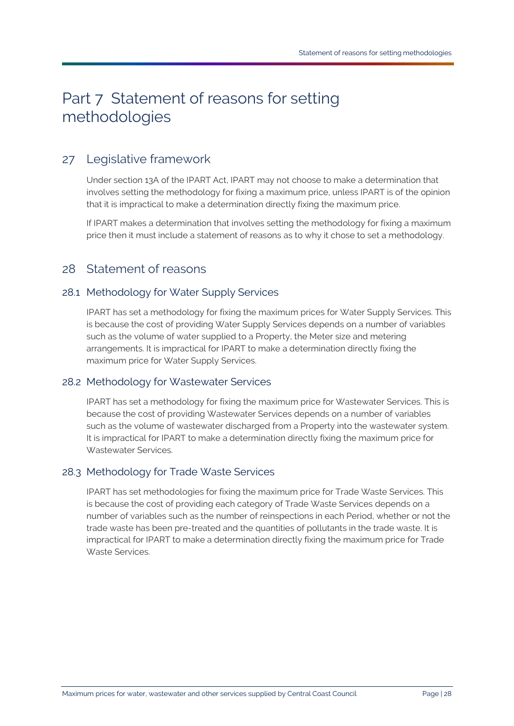# <span id="page-27-0"></span>Part 7 Statement of reasons for setting methodologies

# <span id="page-27-1"></span>27 Legislative framework

Under section 13A of the [IPART Act,](#page-31-6) [IPART](#page-31-1) may not choose to make a determination that involves setting the methodology for fixing a maximum price, unless [IPART](#page-31-1) is of the opinion that it is impractical to make a determination directly fixing the maximum price.

I[f IPART](#page-31-1) makes a determination that involves setting the methodology for fixing a maximum price then it must include a statement of reasons as to why it chose to set a methodology.

## <span id="page-27-2"></span>28 Statement of reasons

## 28.1 Methodology for [Water Supply Services](#page-35-1)

[IPART](#page-31-1) has set a methodology for fixing the maximum prices for [Water Supply Services.](#page-35-1) This is because the cost of providing [Water Supply Services](#page-35-1) depends on a number of variables such as the volume of water supplied to a [Property,](#page-33-3) th[e Meter](#page-32-4) size and metering arrangements. It is impractical fo[r IPART](#page-31-1) to make a determination directly fixing the maximum price for [Water Supply Services.](#page-35-1)

## 28.2 Methodology for [Wastewater Services](#page-34-0)

[IPART](#page-31-1) has set a methodology for fixing the maximum price for [Wastewater Services.](#page-34-0) This is because the cost of providing [Wastewater Services](#page-34-0) depends on a number of variables such as the volume of wastewater discharged from a [Property](#page-33-3) into the wastewater system. It is impractical for [IPART](#page-31-1) to make a determination directly fixing the maximum price for [Wastewater Services.](#page-34-0) 

## 28.3 Methodology for [Trade Waste Services](#page-34-2)

[IPART](#page-31-1) has set methodologies for fixing the maximum price for [Trade Waste Services.](#page-34-2) This is because the cost of providing each category of [Trade Waste Services](#page-34-2) depends on a number of variables such as the number of reinspections in each [Period,](#page-33-4) whether or not the trade waste has been pre-treated and the quantities of pollutants in the trade waste. It is impractical for [IPART](#page-31-1) to make a determination directly fixing the maximum price for [Trade](#page-34-2)  [Waste Services.](#page-34-2)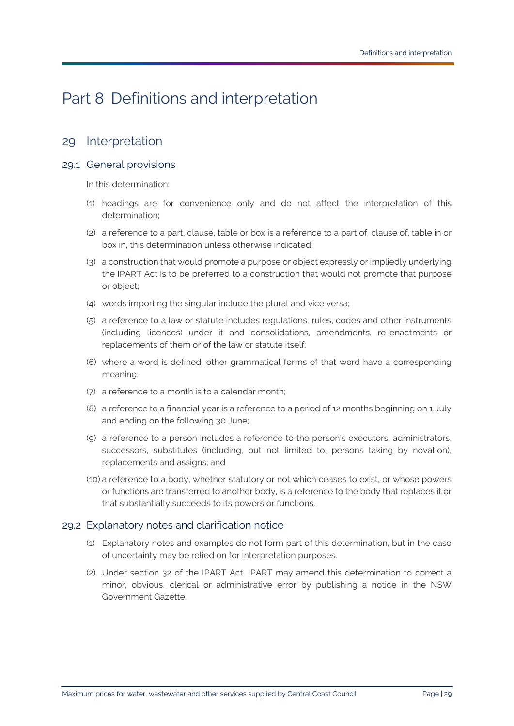# <span id="page-28-0"></span>Part 8 Definitions and interpretation

## <span id="page-28-1"></span>29 Interpretation

### 29.1 General provisions

In this determination:

- (1) headings are for convenience only and do not affect the interpretation of this determination;
- (2) a reference to a part, clause, table or box is a reference to a part of, clause of, table in or box in, this determination unless otherwise indicated;
- (3) a construction that would promote a purpose or object expressly or impliedly underlying the [IPART Act](#page-31-6) is to be preferred to a construction that would not promote that purpose or object;
- (4) words importing the singular include the plural and vice versa;
- (5) a reference to a law or statute includes regulations, rules, codes and other instruments (including licences) under it and consolidations, amendments, re-enactments or replacements of them or of the law or statute itself;
- (6) where a word is defined, other grammatical forms of that word have a corresponding meaning;
- (7) a reference to a month is to a calendar month;
- (8) a reference to a financial year is a reference to a period of 12 months beginning on 1 July and ending on the following 30 June;
- (9) a reference to a person includes a reference to the person's executors, administrators, successors, substitutes (including, but not limited to, persons taking by novation), replacements and assigns; and
- (10) a reference to a body, whether statutory or not which ceases to exist, or whose powers or functions are transferred to another body, is a reference to the body that replaces it or that substantially succeeds to its powers or functions.

### 29.2 Explanatory notes and clarification notice

- (1) Explanatory notes and examples do not form part of this determination, but in the case of uncertainty may be relied on for interpretation purposes.
- (2) Under section 32 of the [IPART Act,](#page-31-6) [IPART](#page-31-1) may amend this determination to correct a minor, obvious, clerical or administrative error by publishing a notice in the NSW Government Gazette.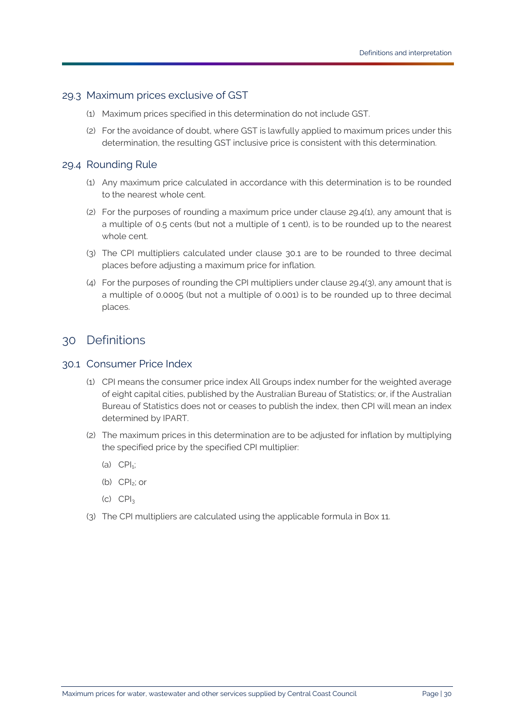### 29.3 Maximum prices exclusive of GST

- (1) Maximum prices specified in this determination do not include GST.
- (2) For the avoidance of doubt, where GST is lawfully applied to maximum prices under this determination, the resulting GST inclusive price is consistent with this determination.

### <span id="page-29-2"></span>29.4 Rounding Rule

- (1) Any maximum price calculated in accordance with this determination is to be rounded to the nearest whole cent.
- (2) For the purposes of rounding a maximum price under clause [29.4\(1\),](#page-29-2) any amount that is a multiple of 0.5 cents (but not a multiple of 1 cent), is to be rounded up to the nearest whole cent.
- <span id="page-29-3"></span>(3) The CPI multipliers calculated under clause [30.1](#page-29-1) are to be rounded to three decimal places before adjusting a maximum price for inflation.
- (4) For the purposes of rounding the CPI multipliers under claus[e 29.4\(3\),](#page-29-3) any amount that is a multiple of 0.0005 (but not a multiple of 0.001) is to be rounded up to three decimal places.

## <span id="page-29-0"></span>30 Definitions

### <span id="page-29-1"></span>30.1 Consumer Price Index

- (1) CPI means the consumer price index All Groups index number for the weighted average of eight capital cities, published by the Australian Bureau of Statistics; or, if the Australian Bureau of Statistics does not or ceases to publish the index, then CPI will mean an index determined by [IPART.](#page-31-1)
- (2) The maximum prices in this determination are to be adjusted for inflation by multiplying the specified price by the specified CPI multiplier:
	- (a)  $\text{CPI}_{1}$ ;
	- (b) CPI2; or
	- $(C)$   $CPI<sub>3</sub>$
- (3) The CPI multipliers are calculated using the applicable formula in [Box 11.](#page-30-5)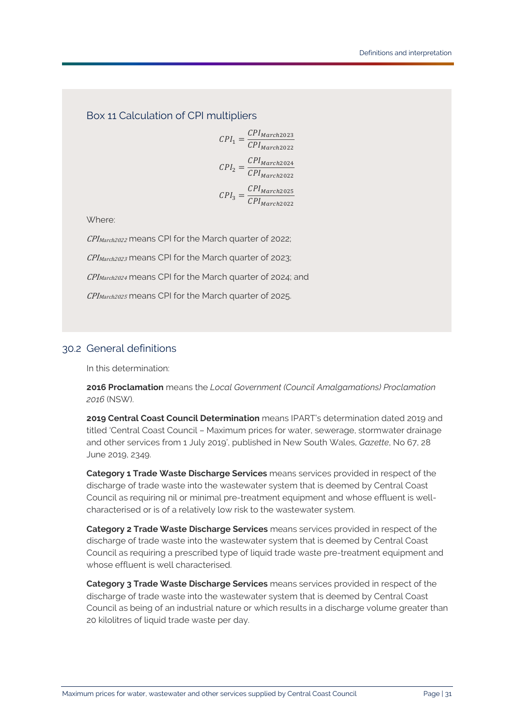<span id="page-30-5"></span>Box 11 Calculation of CPI multipliers

 $I_1 = \frac{CPI_{March2023}}{CPI_{March2022}}$  $I_2 = \frac{CPI_{March2024}}{CPI_{March2022}}$  $I_3 = \frac{CPI_{March2025}}{CPI_{March2022}}$ 

Where:

CPI<sub>March2022</sub> means CPI for the March quarter of 2022;

CPI<sub>March2023</sub> means CPI for the March quarter of 2023;

CPI<sub>March2024</sub> means CPI for the March quarter of 2024; and

CPI<sub>March2025</sub> means CPI for the March quarter of 2025.

## 30.2 General definitions

In this determination:

<span id="page-30-1"></span>**2016 Proclamation** means the *Local Government (Council Amalgamations) Proclamation 2016* (NSW).

<span id="page-30-0"></span>**2019 Central Coast Council Determination** means [IPART's](#page-31-1) determination dated 2019 and titled 'Central Coast Council – Maximum prices for water, sewerage, stormwater drainage and other services from 1 July 2019', published in New South Wales, *Gazette*, No 67, 28 June 2019, 2349.

<span id="page-30-2"></span>**Category 1 Trade Waste Discharge Services** means services provided in respect of the discharge of trade waste into the wastewater system that is deemed by [Central Coast](#page-31-0)  [Council](#page-31-0) as requiring nil or minimal pre-treatment equipment and whose effluent is wellcharacterised or is of a relatively low risk to the wastewater system.

<span id="page-30-3"></span>**Category 2 Trade Waste Discharge Services** means services provided in respect of the discharge of trade waste into the wastewater system that is deemed by [Central Coast](#page-31-0)  [Council](#page-31-0) as requiring a prescribed type of liquid trade waste pre-treatment equipment and whose effluent is well characterised.

<span id="page-30-4"></span>**Category 3 Trade Waste Discharge Services** means services provided in respect of the discharge of trade waste into the wastewater system that is deemed by [Central Coast](#page-31-0)  [Council](#page-31-0) as being of an industrial nature or which results in a discharge volume greater than 20 kilolitres of liquid trade waste per day.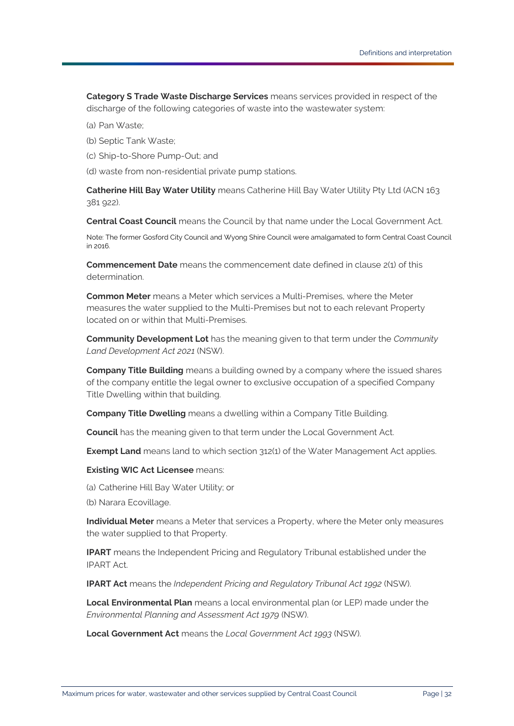<span id="page-31-9"></span><span id="page-31-8"></span>**Category S Trade Waste Discharge Services** means services provided in respect of the discharge of the following categories of waste into the wastewater system:

- (a) [Pan Waste;](#page-33-9)
- (b) [Septic Tank Waste;](#page-34-11)
- (c) [Ship-to-Shore Pump-Out;](#page-34-12) and

(d) waste from non-residential private pump stations.

<span id="page-31-14"></span>**Catherine Hill Bay Water Utility** means Catherine Hill Bay Water Utility Pty Ltd (ACN 163 381 922).

<span id="page-31-0"></span>**Central Coast Council** means the [Council](#page-31-10) by that name under the [Local Government Act.](#page-31-11)

Note: The former Gosford City Council and Wyong Shire Council were amalgamated to form [Central Coast Council](#page-31-0) in 2016.

<span id="page-31-2"></span>**Commencement Date** means the commencement date defined in clause [2\(1\)](#page-3-4) of this determination.

<span id="page-31-4"></span>**Common Meter** means a [Meter](#page-32-4) which services a [Multi-Premises,](#page-32-9) where the [Meter](#page-32-4) measures the water supplied to the [Multi-Premises](#page-32-9) but not to each relevant [Property](#page-33-3) located on or within that [Multi-Premises.](#page-32-9)

<span id="page-31-16"></span>**Community Development Lot** has the meaning given to that term under the *Community Land Development Act 2021* (NSW).

<span id="page-31-13"></span>**Company Title Building** means a building owned by a company where the issued shares of the company entitle the legal owner to exclusive occupation of a specified [Company](#page-31-12)  [Title Dwelling](#page-31-12) within that building.

<span id="page-31-12"></span>**Company Title Dwelling** means a dwelling within a [Company Title Building.](#page-31-13)

<span id="page-31-10"></span>**Council** has the meaning given to that term under the [Local Government Act.](#page-31-11)

<span id="page-31-3"></span>**Exempt Land** means land to which section 312(1) of the [Water Management Act](#page-35-3) applies.

<span id="page-31-5"></span>**Existing WIC Act Licensee** means:

(a) [Catherine Hill Bay Water Utility;](#page-31-14) or

(b) [Narara Ecovillage.](#page-32-12)

<span id="page-31-7"></span>**Individual Meter** means a [Meter](#page-32-4) that services a [Property,](#page-33-3) where the [Meter](#page-32-4) only measures the water supplied to that [Property.](#page-33-3)

<span id="page-31-1"></span>**IPART** means the Independent Pricing and Regulatory Tribunal established under the [IPART Act.](#page-31-6)

<span id="page-31-6"></span>**IPART Act** means the *Independent Pricing and Regulatory Tribunal Act 1992* (NSW).

<span id="page-31-15"></span>**Local Environmental Plan** means a local environmental plan (or LEP) made under the *Environmental Planning and Assessment Act 1979* (NSW).

<span id="page-31-11"></span>**Local Government Act** means the *Local Government Act 1993* (NSW).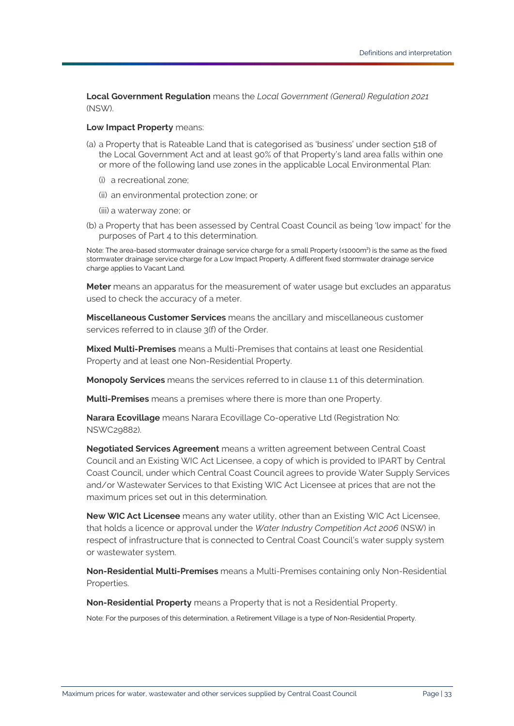<span id="page-32-13"></span><span id="page-32-11"></span>**Local Government Regulation** means the *Local Government (General) Regulation 2021* (NSW).

### <span id="page-32-8"></span>**Low Impact Property** means:

- (a) [a Property](#page-33-3) that is [Rateable Land](#page-33-10) that is categorised as 'business' under section 518 of the [Local Government Act](#page-31-11) and at least 90% of that [Property's](#page-33-3) land area falls within one or more of the following land use zones in the applicable [Local Environmental Plan:](#page-31-15)
	- (i) a recreational zone;
	- (ii) an environmental protection zone; or
	- (iii) a waterway zone; or
- (b) [a Property](#page-33-3) that has been assessed by [Central Coast Council](#page-31-0) as being 'low impact' for the purposes of [Part 4](#page-14-0) to this determination.

Note: The area-based stormwater drainage service charge for a smal[l Property](#page-33-3) (≤1000m<sup>2</sup>) is the same as the fixed stormwater drainage service charge for [a Low Impact Property.](#page-32-8) A different fixed stormwater drainage service charge applies t[o Vacant Land.](#page-34-5)

<span id="page-32-4"></span>**Meter** means an apparatus for the measurement of water usage but excludes an apparatus used to check the accuracy of a meter.

<span id="page-32-0"></span>**Miscellaneous Customer Services** means the ancillary and miscellaneous customer services referred to in clause 3(f) of the [Order.](#page-33-2)

<span id="page-32-7"></span>**Mixed Multi-Premises** means a [Multi-Premises](#page-32-9) that contains at least one [Residential](#page-33-5)  [Property](#page-33-5) and at least one [Non-Residential Property.](#page-32-5)

<span id="page-32-1"></span>**Monopoly Services** means the services referred to in clause [1.1](#page-3-5) of this determination.

<span id="page-32-9"></span>**Multi-Premises** means a premises where there is more than one [Property.](#page-33-3)

<span id="page-32-12"></span>**Narara Ecovillage** means Narara Ecovillage Co-operative Ltd (Registration No: NSWC29882).

<span id="page-32-2"></span>**Negotiated Services Agreement** means a written agreement betwee[n Central Coast](#page-31-0)  [Council](#page-31-0) and an [Existing WIC Act Licensee,](#page-31-5) a copy of which is provided to [IPART](#page-31-1) b[y Central](#page-31-0)  [Coast Council,](#page-31-0) under which [Central Coast Council](#page-31-0) agrees to provid[e Water Supply Services](#page-35-1) and/or [Wastewater Services](#page-34-0) to that [Existing WIC Act Licensee](#page-31-5) at prices that are not the maximum prices set out in this determination.

<span id="page-32-3"></span>**New WIC Act Licensee** means any water utility, other than an [Existing WIC Act Licensee,](#page-31-5)  that holds a licence or approval under the *Water Industry Competition Act 2006* (NSW) in respect of infrastructure that is connected to [Central Coast Council's](#page-31-0) water supply system or wastewater system.

<span id="page-32-10"></span>**Non-Residential Multi-Premises** means a [Multi-Premises](#page-32-9) containing only [Non-Residential](#page-32-6)  [Properties.](#page-32-6)

<span id="page-32-6"></span><span id="page-32-5"></span>**Non-Residential Property** means a [Property](#page-33-3) that is not a [Residential Property.](#page-33-5)

Note: For the purposes of this determination, a [Retirement Village](#page-34-13) is a type of [Non-Residential Property.](#page-32-5)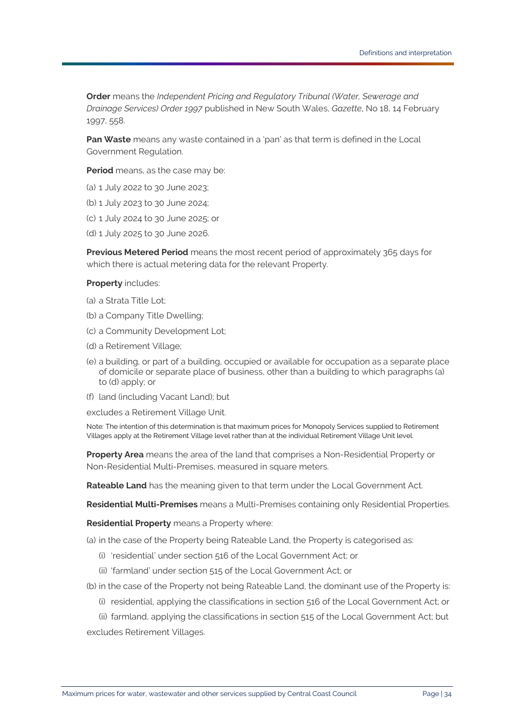<span id="page-33-2"></span>**Order** means the *Independent Pricing and Regulatory Tribunal (Water, Sewerage and Drainage Services) Order 1997* published in New South Wales, *Gazette*, No 18, 14 February 1997, 558.

<span id="page-33-9"></span>**Pan Waste** means any waste contained in a 'pan' as that term is defined in the [Local](#page-32-13)  [Government Regulation.](#page-32-13)

<span id="page-33-4"></span>**Period** means, as the case may be:

- (a) 1 July 2022 to 30 June 2023;
- (b) 1 July 2023 to 30 June 2024;
- (c) 1 July 2024 to 30 June 2025; or
- (d) 1 July 2025 to 30 June 2026.

<span id="page-33-6"></span>**Previous Metered Period** means the most recent period of approximately 365 days for which there is actual metering data for the relevant [Property.](#page-33-3)

### <span id="page-33-3"></span><span id="page-33-0"></span>**Property** includes:

- <span id="page-33-11"></span>(a) [a Strata Title Lot;](#page-34-14)
- (b) [a Company Title Dwelling;](#page-31-12)
- (c) [a Community Development Lot;](#page-31-16)
- <span id="page-33-12"></span>(d) [a Retirement Village;](#page-34-13)
- (e) a building, or part of a building, occupied or available for occupation as a separate place of domicile or separate place of business, other than a building to which paragraphs [\(a\)](#page-33-11) to [\(d\)](#page-33-12) apply; or
- (f) land (including [Vacant Land\)](#page-34-5); but

excludes a [Retirement Village Unit.](#page-34-15)

Note: The intention of this determination is that maximum prices for [Monopoly Services](#page-32-1) supplied t[o Retirement](#page-34-13)  [Villages](#page-34-13) apply at the [Retirement Village](#page-34-13) level rather than at the individua[l Retirement Village Unit](#page-34-15) level.

<span id="page-33-8"></span>**Property Area** means the area of the land that comprises a [Non-Residential Property](#page-32-5) or [Non-Residential Multi-Premises,](#page-32-10) measured in square meters.

<span id="page-33-10"></span>**Rateable Land** has the meaning given to that term under the [Local Government Act.](#page-31-11)

<span id="page-33-7"></span>**Residential Multi-Premises** means a [Multi-Premises](#page-32-9) containing only [Residential Properties.](#page-33-1)

<span id="page-33-5"></span><span id="page-33-1"></span>**Residential Property** means a [Property](#page-33-3) where:

- (a) in the case of the [Property](#page-33-3) bein[g Rateable Land,](#page-33-10) the [Property](#page-33-3) is categorised as:
	- (i) 'residential' under section 516 of the [Local Government Act;](#page-31-11) or
	- (ii) 'farmland' under section 515 of the [Local Government Act;](#page-31-11) or
- (b) in the case of the [Property](#page-33-3) not being [Rateable Land,](#page-33-10) the dominant use of the [Property](#page-33-3) is:
	- (i) residential, applying the classifications in section 516 of the [Local Government Act;](#page-31-11) or

(ii) farmland, applying the classifications in section 515 of the [Local Government Act;](#page-31-11) but excludes [Retirement Villages](#page-34-13).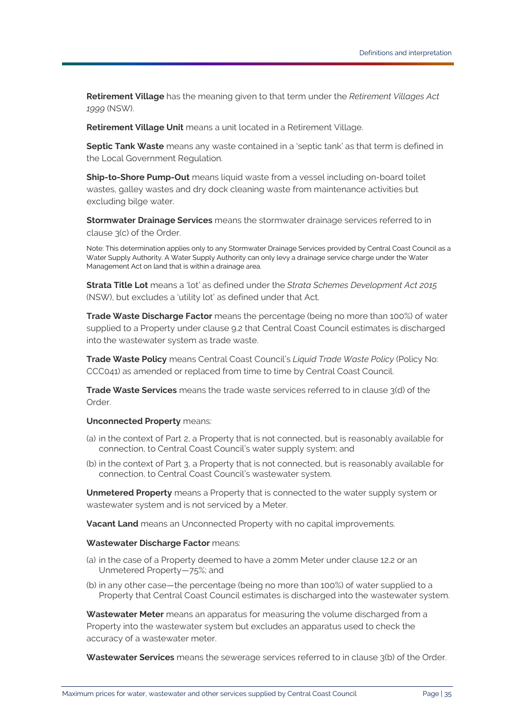<span id="page-34-13"></span>**Retirement Village** has the meaning given to that term under the *Retirement Villages Act 1999* (NSW).

<span id="page-34-15"></span>**Retirement Village Unit** means a unit located in a [Retirement Village.](#page-34-13)

<span id="page-34-11"></span>**Septic Tank Waste** means any waste contained in a 'septic tank' as that term is defined in the [Local Government Regulation.](#page-32-13)

<span id="page-34-12"></span>**Ship-to-Shore Pump-Out** means liquid waste from a vessel including on-board toilet wastes, galley wastes and dry dock cleaning waste from maintenance activities but excluding bilge water.

<span id="page-34-1"></span>**Stormwater Drainage Services** means the stormwater drainage services referred to in clause 3(c) of the [Order.](#page-33-2)

Note: This determination applies only to any [Stormwater Drainage Services](#page-34-1) provided b[y Central Coast Council](#page-31-0) as a [Water Supply Authority.](#page-35-0) [A Water Supply Authority](#page-35-0) can only levy a drainage service charge under th[e Water](#page-35-3)  [Management Act](#page-35-3) on land that is within a drainage area.

<span id="page-34-14"></span>**Strata Title Lot** means a 'lot' as defined under the *Strata Schemes Development Act 2015* (NSW), but excludes a 'utility lot' as defined under that Act.

<span id="page-34-9"></span>**Trade Waste Discharge Factor** means the percentage (being no more than 100%) of water supplied to a [Property](#page-33-3) under clause [9.2](#page-8-3) that [Central Coast Council](#page-31-0) estimates is discharged into the wastewater system as trade waste.

<span id="page-34-10"></span>**Trade Waste Policy** means [Central Coast Council's](#page-31-0) *Liquid Trade Waste Policy* (Policy No: CCC041) as amended or replaced from time to time b[y Central Coast Council.](#page-31-0)

<span id="page-34-2"></span>**Trade Waste Services** means the trade waste services referred to in clause 3(d) of the [Order.](#page-33-2)

### <span id="page-34-6"></span>**Unconnected Property** means:

- (a) in the context of [Part 2,](#page-6-0) a [Property](#page-33-3) that is not connected, but is reasonably available for connection, to [Central Coast Council'](#page-31-0)s water supply system; and
- (b) in the context of [Part 3,](#page-10-0) a [Property](#page-33-3) that is not connected, but is reasonably available for connection, to [Central Coast Council'](#page-31-0)s wastewater system.

<span id="page-34-7"></span><span id="page-34-3"></span>**Unmetered Property** means [a Property](#page-33-3) that is connected to the water supply system or wastewater system and is not serviced by a [Meter.](#page-32-4)

<span id="page-34-5"></span>**Vacant Land** means a[n Unconnected Property](#page-34-6) with no capital improvements.

### <span id="page-34-4"></span>**Wastewater Discharge Factor** means:

- (a) in the case of [a Property](#page-33-3) deemed to have a 20mm [Meter](#page-32-4) under clause [12.2](#page-12-1) or an [Unmetered Property—](#page-34-7)75%; and
- (b) in any other case—the percentage (being no more than 100%) of water supplied to a [Property](#page-33-3) tha[t Central Coast Council](#page-31-0) estimates is discharged into the wastewater system.

<span id="page-34-8"></span>**Wastewater Meter** means an apparatus for measuring the volume discharged from a [Property](#page-33-3) into the wastewater system but excludes an apparatus used to check the accuracy of a wastewater meter.

<span id="page-34-0"></span>**Wastewater Services** means the sewerage services referred to in clause 3(b) of the [Order.](#page-33-2)